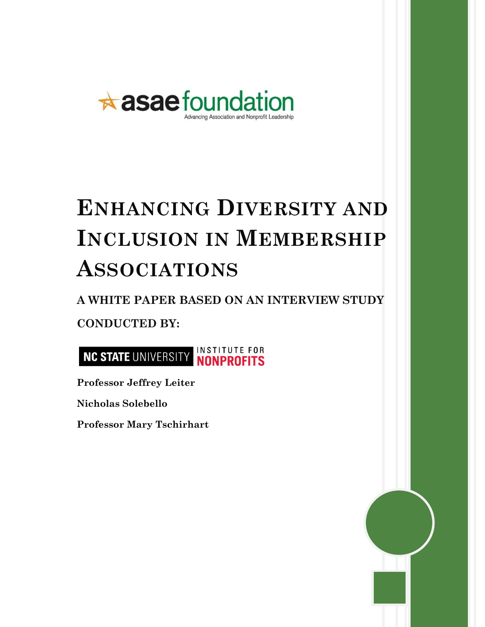

# **ENHANCING DIVERSITY AND INCLUSION IN MEMBERSHIP ASSOCIATIONS**

## **A WHITE PAPER BASED ON AN INTERVIEW STUDY CONDUCTED BY:**



**Professor Jeffrey Leiter** 

**Nicholas Solebello**

 **Professor Mary Tschirhart** 

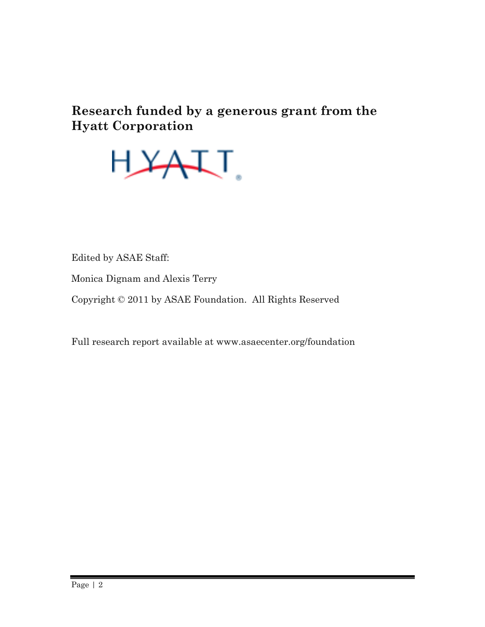### **Research funded by a generous grant from the Hyatt Corporation**



Edited by ASAE Staff:

Monica Dignam and Alexis Terry

Copyright © 2011 by ASAE Foundation. All Rights Reserved

Full research report available at www.asaecenter.org/foundation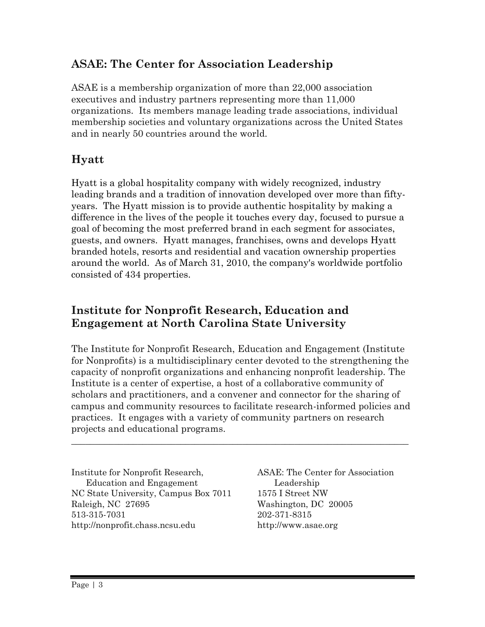### **ASAE: The Center for Association Leadership**

ASAE is a membership organization of more than 22,000 association executives and industry partners representing more than 11,000 organizations. Its members manage leading trade associations, individual membership societies and voluntary organizations across the United States and in nearly 50 countries around the world.

### **Hyatt**

Hyatt is a global hospitality company with widely recognized, industry leading brands and a tradition of innovation developed over more than fiftyyears. The Hyatt mission is to provide authentic hospitality by making a difference in the lives of the people it touches every day, focused to pursue a goal of becoming the most preferred brand in each segment for associates, guests, and owners. Hyatt manages, franchises, owns and develops Hyatt branded hotels, resorts and residential and vacation ownership properties around the world. As of March 31, 2010, the company's worldwide portfolio consisted of 434 properties.

### **Institute for Nonprofit Research, Education and Engagement at North Carolina State University**

The Institute for Nonprofit Research, Education and Engagement (Institute for Nonprofits) is a multidisciplinary center devoted to the strengthening the capacity of nonprofit organizations and enhancing nonprofit leadership. The Institute is a center of expertise, a host of a collaborative community of scholars and practitioners, and a convener and connector for the sharing of campus and community resources to facilitate research-informed policies and practices. It engages with a variety of community partners on research projects and educational programs.

 $\_$  , and the set of the set of the set of the set of the set of the set of the set of the set of the set of the set of the set of the set of the set of the set of the set of the set of the set of the set of the set of th

Institute for Nonprofit Research, Education and Engagement NC State University, Campus Box 7011 Raleigh, NC 27695 513-315-7031 http://nonprofit.chass.ncsu.edu

ASAE: The Center for Association Leadership 1575 I Street NW Washington, DC 20005 202-371-8315 http://www.asae.org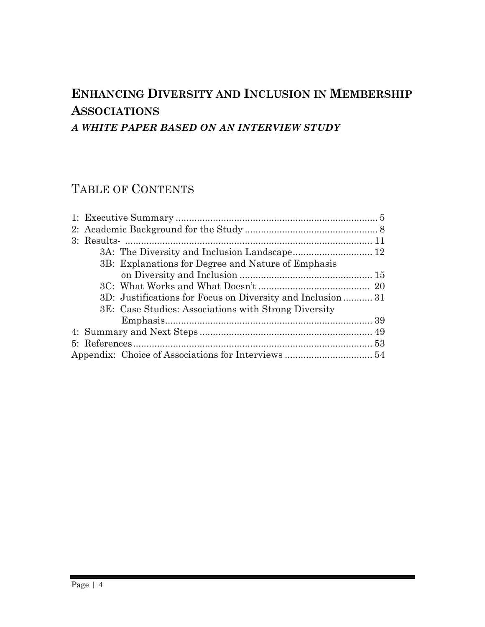### **ENHANCING DIVERSITY AND INCLUSION IN MEMBERSHIP ASSOCIATIONS** *A WHITE PAPER BASED ON AN INTERVIEW STUDY*

### TABLE OF CONTENTS

|  |  | 3B: Explanations for Degree and Nature of Emphasis          |  |
|--|--|-------------------------------------------------------------|--|
|  |  |                                                             |  |
|  |  |                                                             |  |
|  |  | 3D: Justifications for Focus on Diversity and Inclusion  31 |  |
|  |  | 3E: Case Studies: Associations with Strong Diversity        |  |
|  |  |                                                             |  |
|  |  |                                                             |  |
|  |  |                                                             |  |
|  |  |                                                             |  |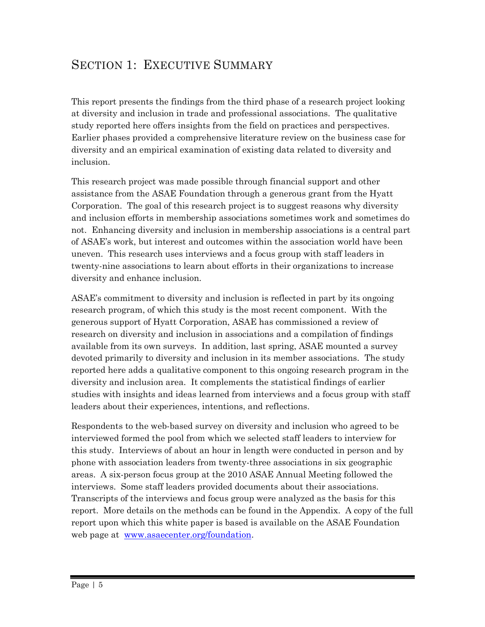### SECTION 1: EXECUTIVE SUMMARY

This report presents the findings from the third phase of a research project looking at diversity and inclusion in trade and professional associations. The qualitative study reported here offers insights from the field on practices and perspectives. Earlier phases provided a comprehensive literature review on the business case for diversity and an empirical examination of existing data related to diversity and inclusion.

This research project was made possible through financial support and other assistance from the ASAE Foundation through a generous grant from the Hyatt Corporation. The goal of this research project is to suggest reasons why diversity and inclusion efforts in membership associations sometimes work and sometimes do not. Enhancing diversity and inclusion in membership associations is a central part of ASAE's work, but interest and outcomes within the association world have been uneven. This research uses interviews and a focus group with staff leaders in twenty-nine associations to learn about efforts in their organizations to increase diversity and enhance inclusion.

ASAE's commitment to diversity and inclusion is reflected in part by its ongoing research program, of which this study is the most recent component. With the generous support of Hyatt Corporation, ASAE has commissioned a review of research on diversity and inclusion in associations and a compilation of findings available from its own surveys. In addition, last spring, ASAE mounted a survey devoted primarily to diversity and inclusion in its member associations. The study reported here adds a qualitative component to this ongoing research program in the diversity and inclusion area. It complements the statistical findings of earlier studies with insights and ideas learned from interviews and a focus group with staff leaders about their experiences, intentions, and reflections.

Respondents to the web-based survey on diversity and inclusion who agreed to be interviewed formed the pool from which we selected staff leaders to interview for this study. Interviews of about an hour in length were conducted in person and by phone with association leaders from twenty-three associations in six geographic areas. A six-person focus group at the 2010 ASAE Annual Meeting followed the interviews. Some staff leaders provided documents about their associations. Transcripts of the interviews and focus group were analyzed as the basis for this report. More details on the methods can be found in the Appendix. A copy of the full report upon which this white paper is based is available on the ASAE Foundation web page at [www.asaecenter.org/foundation.](http://www.asaecenter.org/foundation)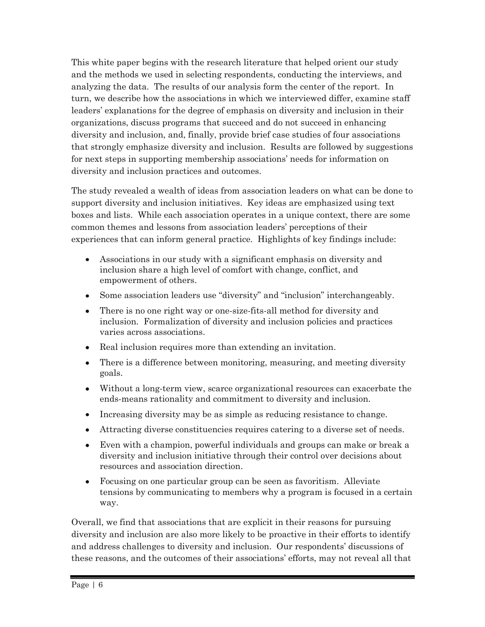This white paper begins with the research literature that helped orient our study and the methods we used in selecting respondents, conducting the interviews, and analyzing the data. The results of our analysis form the center of the report. In turn, we describe how the associations in which we interviewed differ, examine staff leaders' explanations for the degree of emphasis on diversity and inclusion in their organizations, discuss programs that succeed and do not succeed in enhancing diversity and inclusion, and, finally, provide brief case studies of four associations that strongly emphasize diversity and inclusion. Results are followed by suggestions for next steps in supporting membership associations' needs for information on diversity and inclusion practices and outcomes.

The study revealed a wealth of ideas from association leaders on what can be done to support diversity and inclusion initiatives. Key ideas are emphasized using text boxes and lists. While each association operates in a unique context, there are some common themes and lessons from association leaders' perceptions of their experiences that can inform general practice. Highlights of key findings include:

- Associations in our study with a significant emphasis on diversity and inclusion share a high level of comfort with change, conflict, and empowerment of others.
- Some association leaders use "diversity" and "inclusion" interchangeably.
- There is no one right way or one-size-fits-all method for diversity and inclusion. Formalization of diversity and inclusion policies and practices varies across associations.
- Real inclusion requires more than extending an invitation.
- There is a difference between monitoring, measuring, and meeting diversity  $\bullet$ goals.
- Without a long-term view, scarce organizational resources can exacerbate the ends-means rationality and commitment to diversity and inclusion.
- Increasing diversity may be as simple as reducing resistance to change.
- Attracting diverse constituencies requires catering to a diverse set of needs.
- Even with a champion, powerful individuals and groups can make or break a diversity and inclusion initiative through their control over decisions about resources and association direction.
- Focusing on one particular group can be seen as favoritism. Alleviate tensions by communicating to members why a program is focused in a certain way.

Overall, we find that associations that are explicit in their reasons for pursuing diversity and inclusion are also more likely to be proactive in their efforts to identify and address challenges to diversity and inclusion. Our respondents' discussions of these reasons, and the outcomes of their associations' efforts, may not reveal all that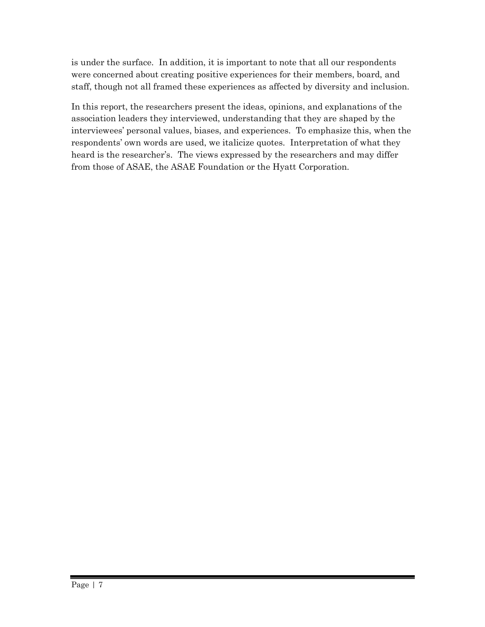is under the surface. In addition, it is important to note that all our respondents were concerned about creating positive experiences for their members, board, and staff, though not all framed these experiences as affected by diversity and inclusion.

In this report, the researchers present the ideas, opinions, and explanations of the association leaders they interviewed, understanding that they are shaped by the interviewees' personal values, biases, and experiences. To emphasize this, when the respondents' own words are used, we italicize quotes. Interpretation of what they heard is the researcher's. The views expressed by the researchers and may differ from those of ASAE, the ASAE Foundation or the Hyatt Corporation.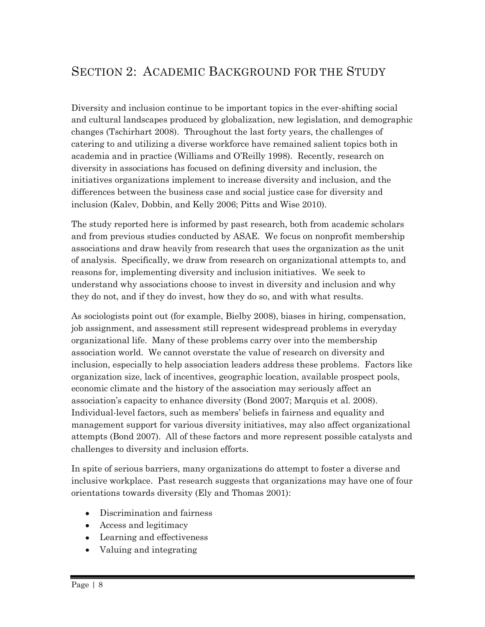### SECTION 2: ACADEMIC BACKGROUND FOR THE STUDY

Diversity and inclusion continue to be important topics in the ever-shifting social and cultural landscapes produced by globalization, new legislation, and demographic changes (Tschirhart 2008). Throughout the last forty years, the challenges of catering to and utilizing a diverse workforce have remained salient topics both in academia and in practice (Williams and O'Reilly 1998). Recently, research on diversity in associations has focused on defining diversity and inclusion, the initiatives organizations implement to increase diversity and inclusion, and the differences between the business case and social justice case for diversity and inclusion (Kalev, Dobbin, and Kelly 2006; Pitts and Wise 2010).

The study reported here is informed by past research, both from academic scholars and from previous studies conducted by ASAE. We focus on nonprofit membership associations and draw heavily from research that uses the organization as the unit of analysis. Specifically, we draw from research on organizational attempts to, and reasons for, implementing diversity and inclusion initiatives. We seek to understand why associations choose to invest in diversity and inclusion and why they do not, and if they do invest, how they do so, and with what results.

As sociologists point out (for example, Bielby 2008), biases in hiring, compensation, job assignment, and assessment still represent widespread problems in everyday organizational life. Many of these problems carry over into the membership association world. We cannot overstate the value of research on diversity and inclusion, especially to help association leaders address these problems. Factors like organization size, lack of incentives, geographic location, available prospect pools, economic climate and the history of the association may seriously affect an association's capacity to enhance diversity (Bond 2007; Marquis et al. 2008). Individual-level factors, such as members' beliefs in fairness and equality and management support for various diversity initiatives, may also affect organizational attempts (Bond 2007). All of these factors and more represent possible catalysts and challenges to diversity and inclusion efforts.

In spite of serious barriers, many organizations do attempt to foster a diverse and inclusive workplace. Past research suggests that organizations may have one of four orientations towards diversity (Ely and Thomas 2001):

- Discrimination and fairness
- Access and legitimacy
- Learning and effectiveness
- Valuing and integrating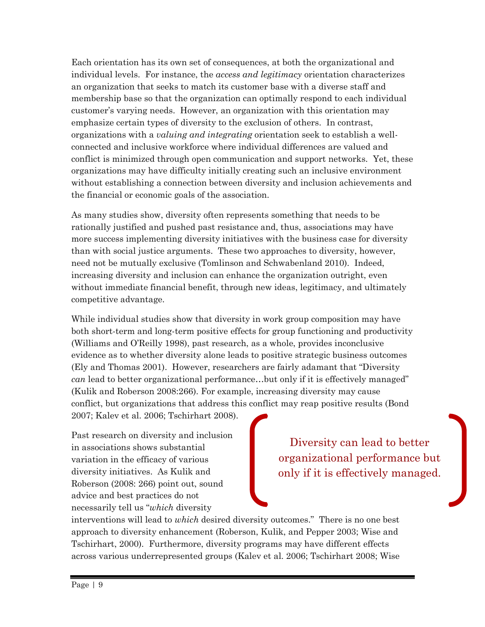Each orientation has its own set of consequences, at both the organizational and individual levels. For instance, the *access and legitimacy* orientation characterizes an organization that seeks to match its customer base with a diverse staff and membership base so that the organization can optimally respond to each individual customer's varying needs. However, an organization with this orientation may emphasize certain types of diversity to the exclusion of others. In contrast, organizations with a *valuing and integrating* orientation seek to establish a wellconnected and inclusive workforce where individual differences are valued and conflict is minimized through open communication and support networks. Yet, these organizations may have difficulty initially creating such an inclusive environment without establishing a connection between diversity and inclusion achievements and the financial or economic goals of the association.

As many studies show, diversity often represents something that needs to be rationally justified and pushed past resistance and, thus, associations may have more success implementing diversity initiatives with the business case for diversity than with social justice arguments. These two approaches to diversity, however, need not be mutually exclusive (Tomlinson and Schwabenland 2010). Indeed, increasing diversity and inclusion can enhance the organization outright, even without immediate financial benefit, through new ideas, legitimacy, and ultimately competitive advantage.

While individual studies show that diversity in work group composition may have both short-term and long-term positive effects for group functioning and productivity (Williams and O'Reilly 1998), past research, as a whole, provides inconclusive evidence as to whether diversity alone leads to positive strategic business outcomes (Ely and Thomas 2001). However, researchers are fairly adamant that "Diversity *can* lead to better organizational performance…but only if it is effectively managed" (Kulik and Roberson 2008:266). For example, increasing diversity may cause conflict, but organizations that address this conflict may reap positive results (Bond 2007; Kalev et al. 2006; Tschirhart 2008).

Past research on diversity and inclusion in associations shows substantial variation in the efficacy of various diversity initiatives. As Kulik and Roberson (2008: 266) point out, sound advice and best practices do not necessarily tell us "*which* diversity

Diversity can lead to better organizational performance but only if it is effectively managed.

interventions will lead to *which* desired diversity outcomes." There is no one best approach to diversity enhancement (Roberson, Kulik, and Pepper 2003; Wise and Tschirhart, 2000). Furthermore, diversity programs may have different effects across various underrepresented groups (Kalev et al. 2006; Tschirhart 2008; Wise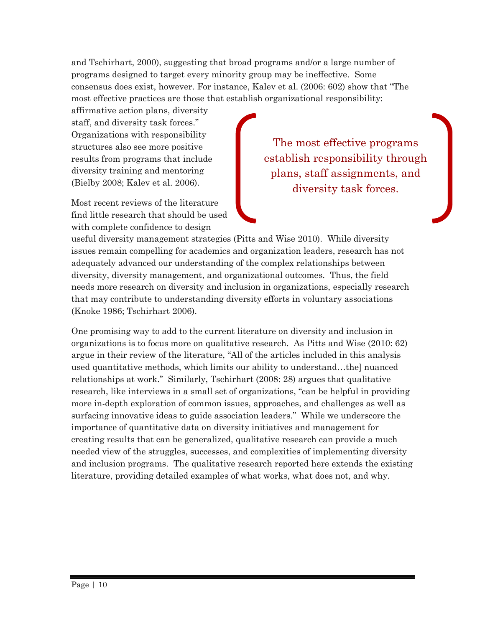and Tschirhart, 2000), suggesting that broad programs and/or a large number of programs designed to target every minority group may be ineffective. Some consensus does exist, however. For instance, Kalev et al. (2006: 602) show that "The most effective practices are those that establish organizational responsibility:

affirmative action plans, diversity staff, and diversity task forces." Organizations with responsibility structures also see more positive results from programs that include diversity training and mentoring (Bielby 2008; Kalev et al. 2006).

Most recent reviews of the literature find little research that should be used with complete confidence to design

The most effective programs establish responsibility through plans, staff assignments, and diversity task forces.

useful diversity management strategies (Pitts and Wise 2010). While diversity issues remain compelling for academics and organization leaders, research has not adequately advanced our understanding of the complex relationships between diversity, diversity management, and organizational outcomes. Thus, the field needs more research on diversity and inclusion in organizations, especially research that may contribute to understanding diversity efforts in voluntary associations (Knoke 1986; Tschirhart 2006).

One promising way to add to the current literature on diversity and inclusion in organizations is to focus more on qualitative research. As Pitts and Wise (2010: 62) argue in their review of the literature, "All of the articles included in this analysis used quantitative methods, which limits our ability to understand…the] nuanced relationships at work." Similarly, Tschirhart (2008: 28) argues that qualitative research, like interviews in a small set of organizations, "can be helpful in providing more in-depth exploration of common issues, approaches, and challenges as well as surfacing innovative ideas to guide association leaders." While we underscore the importance of quantitative data on diversity initiatives and management for creating results that can be generalized, qualitative research can provide a much needed view of the struggles, successes, and complexities of implementing diversity and inclusion programs. The qualitative research reported here extends the existing literature, providing detailed examples of what works, what does not, and why.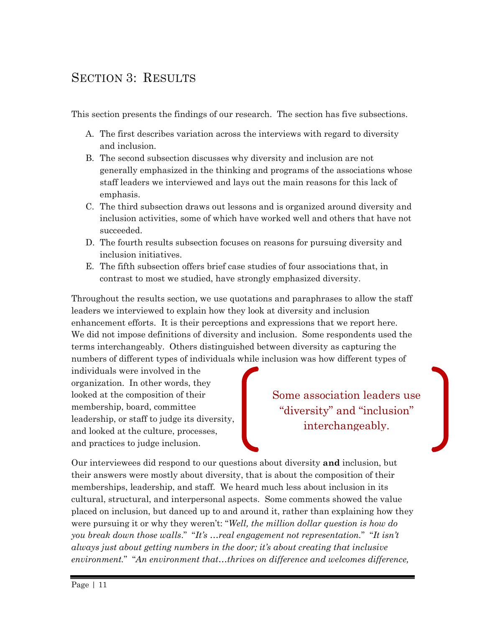### SECTION 3: RESULTS

This section presents the findings of our research. The section has five subsections.

- A. The first describes variation across the interviews with regard to diversity and inclusion.
- B. The second subsection discusses why diversity and inclusion are not generally emphasized in the thinking and programs of the associations whose staff leaders we interviewed and lays out the main reasons for this lack of emphasis.
- C. The third subsection draws out lessons and is organized around diversity and inclusion activities, some of which have worked well and others that have not succeeded.
- D. The fourth results subsection focuses on reasons for pursuing diversity and inclusion initiatives.
- E. The fifth subsection offers brief case studies of four associations that, in contrast to most we studied, have strongly emphasized diversity.

Throughout the results section, we use quotations and paraphrases to allow the staff leaders we interviewed to explain how they look at diversity and inclusion enhancement efforts. It is their perceptions and expressions that we report here. We did not impose definitions of diversity and inclusion. Some respondents used the terms interchangeably. Others distinguished between diversity as capturing the numbers of different types of individuals while inclusion was how different types of

individuals were involved in the organization. In other words, they looked at the composition of their membership, board, committee leadership, or staff to judge its diversity, and looked at the culture, processes, and practices to judge inclusion.

Some association leaders use "diversity" and "inclusion" interchangeably.

Our interviewees did respond to our questions about diversity **and** inclusion, but their answers were mostly about diversity, that is about the composition of their memberships, leadership, and staff. We heard much less about inclusion in its cultural, structural, and interpersonal aspects. Some comments showed the value placed on inclusion, but danced up to and around it, rather than explaining how they were pursuing it or why they weren't: "*Well, the million dollar question is how do you break down those walls*." "*It's …real engagement not representation.*" "*It isn't always just about getting numbers in the door; it's about creating that inclusive environment.*" "*An environment that…thrives on difference and welcomes difference,*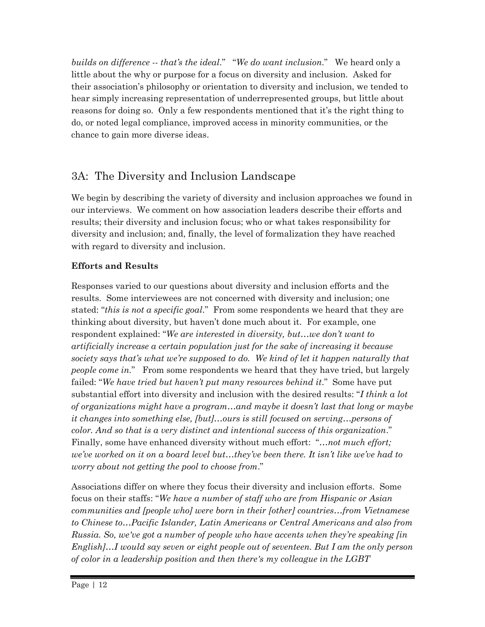*builds on difference -- that's the ideal*." "*We do want inclusion*." We heard only a little about the why or purpose for a focus on diversity and inclusion. Asked for their association's philosophy or orientation to diversity and inclusion, we tended to hear simply increasing representation of underrepresented groups, but little about reasons for doing so. Only a few respondents mentioned that it's the right thing to do, or noted legal compliance, improved access in minority communities, or the chance to gain more diverse ideas.

### 3A: The Diversity and Inclusion Landscape

We begin by describing the variety of diversity and inclusion approaches we found in our interviews. We comment on how association leaders describe their efforts and results; their diversity and inclusion focus; who or what takes responsibility for diversity and inclusion; and, finally, the level of formalization they have reached with regard to diversity and inclusion.

#### **Efforts and Results**

Responses varied to our questions about diversity and inclusion efforts and the results. Some interviewees are not concerned with diversity and inclusion; one stated: "*this is not a specific goal*." From some respondents we heard that they are thinking about diversity, but haven't done much about it. For example, one respondent explained: "*We are interested in diversity, but…we don't want to artificially increase a certain population just for the sake of increasing it because society says that's what we're supposed to do. We kind of let it happen naturally that people come in.*" From some respondents we heard that they have tried, but largely failed: "*We have tried but haven't put many resources behind it*." Some have put substantial effort into diversity and inclusion with the desired results: "*I think a lot of organizations might have a program…and maybe it doesn't last that long or maybe it changes into something else, [but]…ours is still focused on serving…persons of color. And so that is a very distinct and intentional success of this organization*." Finally, some have enhanced diversity without much effort: "*…not much effort; we've worked on it on a board level but…they've been there. It isn't like we've had to worry about not getting the pool to choose from*."

Associations differ on where they focus their diversity and inclusion efforts. Some focus on their staffs: "*We have a number of staff who are from Hispanic or Asian communities and [people who] were born in their [other] countries…from Vietnamese to Chinese to…Pacific Islander, Latin Americans or Central Americans and also from Russia. So, we've got a number of people who have accents when they're speaking [in English]…I would say seven or eight people out of seventeen. But I am the only person of color in a leadership position and then there's my colleague in the LGBT*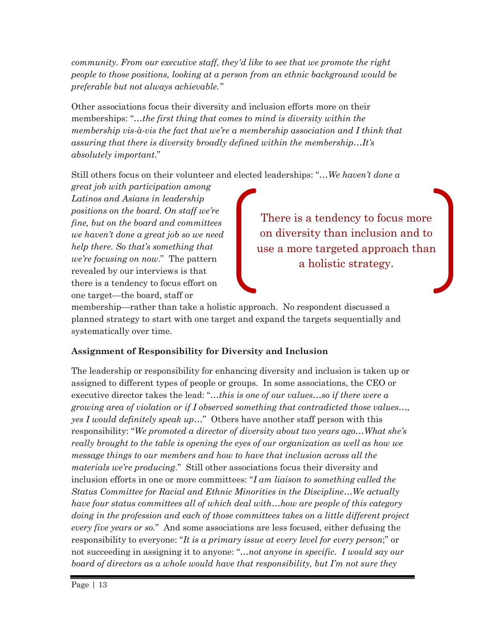*community. From our executive staff, they'd like to see that we promote the right people to those positions, looking at a person from an ethnic background would be preferable but not always achievable."* 

Other associations focus their diversity and inclusion efforts more on their memberships: "*…the first thing that comes to mind is diversity within the membership vis-à-vis the fact that we're a membership association and I think that assuring that there is diversity broadly defined within the membership…It's absolutely important*."

Still others focus on their volunteer and elected leaderships: "*…We haven't done a* 

*great job with participation among Latinos and Asians in leadership positions on the board. On staff we're fine, but on the board and committees we haven't done a great job so we need help there. So that's something that we're focusing on now*." The pattern revealed by our interviews is that there is a tendency to focus effort on one target—the board, staff or

There is a tendency to focus more on diversity than inclusion and to use a more targeted approach than a holistic strategy.

membership—rather than take a holistic approach. No respondent discussed a planned strategy to start with one target and expand the targets sequentially and systematically over time.

#### **Assignment of Responsibility for Diversity and Inclusion**

The leadership or responsibility for enhancing diversity and inclusion is taken up or assigned to different types of people or groups. In some associations, the CEO or executive director takes the lead: "*…this is one of our values…so if there were a growing area of violation or if I observed something that contradicted those values…, yes I would definitely speak up…*" Others have another staff person with this responsibility: "*We promoted a director of diversity about two years ago…What she's really brought to the table is opening the eyes of our organization as well as how we message things to our members and how to have that inclusion across all the materials we're producing*." Still other associations focus their diversity and inclusion efforts in one or more committees: "*I am liaison to something called the Status Committee for Racial and Ethnic Minorities in the Discipline…We actually have four status committees all of which deal with…how are people of this category doing in the profession and each of those committees takes on a little different project every five years or so.*" And some associations are less focused, either defusing the responsibility to everyone: "*It is a primary issue at every level for every person*;" or not succeeding in assigning it to anyone: "*…not anyone in specific. I would say our board of directors as a whole would have that responsibility, but I'm not sure they*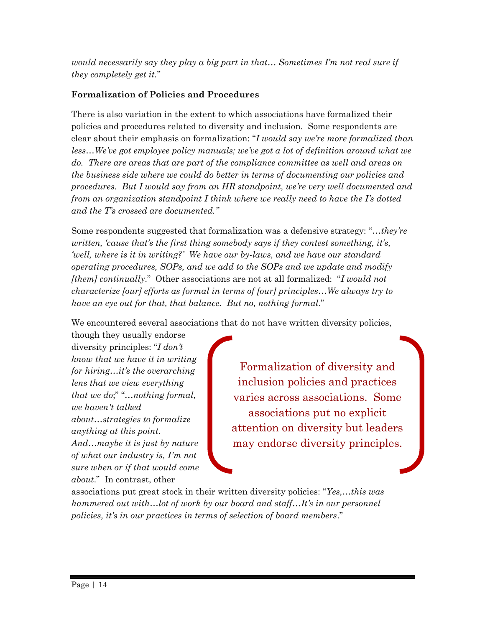*would necessarily say they play a big part in that... Sometimes I'm not real sure if they completely get it.*"

#### **Formalization of Policies and Procedures**

There is also variation in the extent to which associations have formalized their policies and procedures related to diversity and inclusion. Some respondents are clear about their emphasis on formalization: "*I would say we're more formalized than*  less...We've got employee policy manuals; we've got a lot of definition around what we *do. There are areas that are part of the compliance committee as well and areas on the business side where we could do better in terms of documenting our policies and procedures. But I would say from an HR standpoint, we're very well documented and from an organization standpoint I think where we really need to have the I's dotted and the T's crossed are documented."* 

Some respondents suggested that formalization was a defensive strategy: "*…they're written, 'cause that's the first thing somebody says if they contest something, it's, 'well, where is it in writing?' We have our by-laws, and we have our standard operating procedures, SOPs, and we add to the SOPs and we update and modify [them] continually*." Other associations are not at all formalized: "*I would not characterize [our] efforts as formal in terms of [our] principles…We always try to have an eye out for that, that balance. But no, nothing formal*."

We encountered several associations that do not have written diversity policies,

though they usually endorse diversity principles: "*I don't know that we have it in writing for hiring…it's the overarching lens that we view everything that we do*;" "*…nothing formal, we haven't talked about…strategies to formalize anything at this point. And…maybe it is just by nature of what our industry is, I'm not sure when or if that would come about*." In contrast, other

Formalization of diversity and inclusion policies and practices varies across associations. Some associations put no explicit attention on diversity but leaders may endorse diversity principles.

associations put great stock in their written diversity policies: "*Yes,…this was hammered out with…lot of work by our board and staff…It's in our personnel policies, it's in our practices in terms of selection of board members*."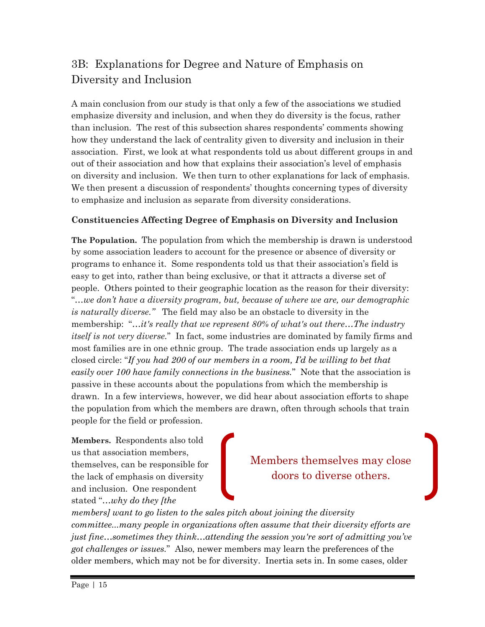### 3B: Explanations for Degree and Nature of Emphasis on Diversity and Inclusion

A main conclusion from our study is that only a few of the associations we studied emphasize diversity and inclusion, and when they do diversity is the focus, rather than inclusion. The rest of this subsection shares respondents' comments showing how they understand the lack of centrality given to diversity and inclusion in their association. First, we look at what respondents told us about different groups in and out of their association and how that explains their association's level of emphasis on diversity and inclusion. We then turn to other explanations for lack of emphasis. We then present a discussion of respondents' thoughts concerning types of diversity to emphasize and inclusion as separate from diversity considerations.

#### **Constituencies Affecting Degree of Emphasis on Diversity and Inclusion**

**The Population.** The population from which the membership is drawn is understood by some association leaders to account for the presence or absence of diversity or programs to enhance it. Some respondents told us that their association's field is easy to get into, rather than being exclusive, or that it attracts a diverse set of people. Others pointed to their geographic location as the reason for their diversity: "*…we don't have a diversity program, but, because of where we are, our demographic is naturally diverse."* The field may also be an obstacle to diversity in the membership: "*…it's really that we represent 80% of what's out there…The industry itself is not very diverse.*" In fact, some industries are dominated by family firms and most families are in one ethnic group. The trade association ends up largely as a closed circle: "*If you had 200 of our members in a room, I'd be willing to bet that easily over 100 have family connections in the business.*" Note that the association is passive in these accounts about the populations from which the membership is drawn. In a few interviews, however, we did hear about association efforts to shape the population from which the members are drawn, often through schools that train people for the field or profession.

**Members.** Respondents also told us that association members, themselves, can be responsible for the lack of emphasis on diversity and inclusion. One respondent stated "*…why do they [the* 

Members themselves may close doors to diverse others.

*members] want to go listen to the sales pitch about joining the diversity committee...many people in organizations often assume that their diversity efforts are just fine…sometimes they think…attending the session you're sort of admitting you've got challenges or issues.*" Also, newer members may learn the preferences of the older members, which may not be for diversity. Inertia sets in. In some cases, older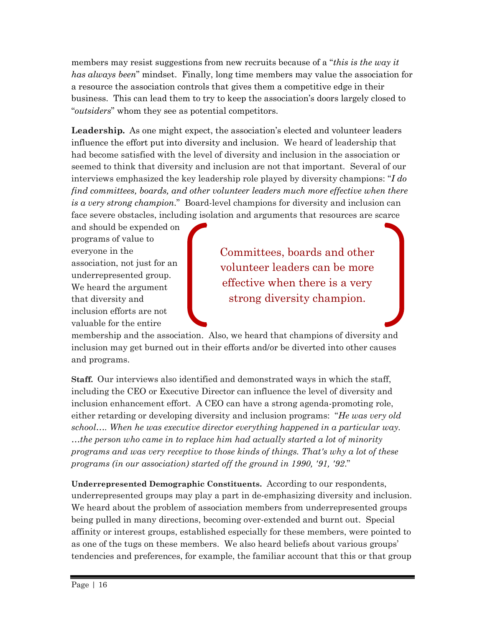members may resist suggestions from new recruits because of a "*this is the way it has always been*" mindset. Finally, long time members may value the association for a resource the association controls that gives them a competitive edge in their business. This can lead them to try to keep the association's doors largely closed to "*outsiders*" whom they see as potential competitors.

**Leadership.** As one might expect, the association's elected and volunteer leaders influence the effort put into diversity and inclusion. We heard of leadership that had become satisfied with the level of diversity and inclusion in the association or seemed to think that diversity and inclusion are not that important. Several of our interviews emphasized the key leadership role played by diversity champions: "*I do find committees, boards, and other volunteer leaders much more effective when there is a very strong champion*." Board-level champions for diversity and inclusion can face severe obstacles, including isolation and arguments that resources are scarce

and should be expended on programs of value to everyone in the association, not just for an underrepresented group. We heard the argument that diversity and inclusion efforts are not valuable for the entire

Committees, boards and other volunteer leaders can be more effective when there is a very strong diversity champion.

membership and the association. Also, we heard that champions of diversity and inclusion may get burned out in their efforts and/or be diverted into other causes and programs.

**Staff.** Our interviews also identified and demonstrated ways in which the staff, including the CEO or Executive Director can influence the level of diversity and inclusion enhancement effort. A CEO can have a strong agenda-promoting role, either retarding or developing diversity and inclusion programs: "*He was very old school…. When he was executive director everything happened in a particular way. …the person who came in to replace him had actually started a lot of minority programs and was very receptive to those kinds of things. That's why a lot of these programs (in our association) started off the ground in 1990, '91, '92*."

**Underrepresented Demographic Constituents.** According to our respondents, underrepresented groups may play a part in de-emphasizing diversity and inclusion. We heard about the problem of association members from underrepresented groups being pulled in many directions, becoming over-extended and burnt out. Special affinity or interest groups, established especially for these members, were pointed to as one of the tugs on these members. We also heard beliefs about various groups' tendencies and preferences, for example, the familiar account that this or that group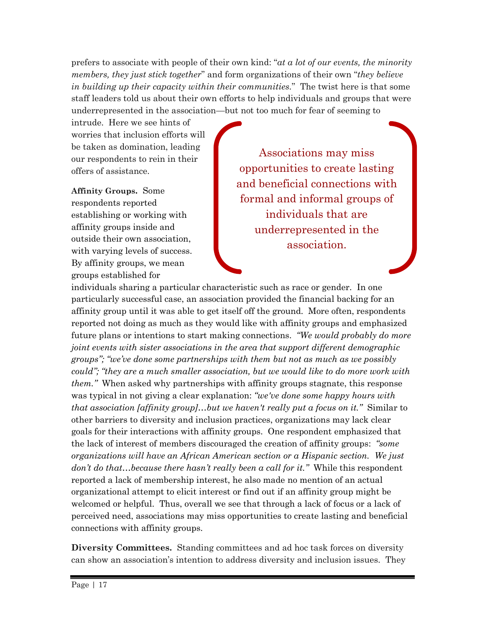prefers to associate with people of their own kind: "*at a lot of our events, the minority members, they just stick together*" and form organizations of their own "*they believe in building up their capacity within their communities.*" The twist here is that some staff leaders told us about their own efforts to help individuals and groups that were underrepresented in the association—but not too much for fear of seeming to

intrude. Here we see hints of worries that inclusion efforts will be taken as domination, leading our respondents to rein in their offers of assistance.

**Affinity Groups.** Some respondents reported establishing or working with affinity groups inside and outside their own association, with varying levels of success. By affinity groups, we mean groups established for

Associations may miss opportunities to create lasting and beneficial connections with formal and informal groups of individuals that are underrepresented in the association.

individuals sharing a particular characteristic such as race or gender. In one particularly successful case, an association provided the financial backing for an affinity group until it was able to get itself off the ground. More often, respondents reported not doing as much as they would like with affinity groups and emphasized future plans or intentions to start making connections. *"We would probably do more joint events with sister associations in the area that support different demographic groups"; "we've done some partnerships with them but not as much as we possibly could"; "they are a much smaller association, but we would like to do more work with them.*" When asked why partnerships with affinity groups stagnate, this response was typical in not giving a clear explanation: *"we've done some happy hours with that association [affinity group]…but we haven't really put a focus on it."* Similar to other barriers to diversity and inclusion practices, organizations may lack clear goals for their interactions with affinity groups. One respondent emphasized that the lack of interest of members discouraged the creation of affinity groups: *"some organizations will have an African American section or a Hispanic section. We just don't do that…because there hasn't really been a call for it."* While this respondent reported a lack of membership interest, he also made no mention of an actual organizational attempt to elicit interest or find out if an affinity group might be welcomed or helpful. Thus, overall we see that through a lack of focus or a lack of perceived need, associations may miss opportunities to create lasting and beneficial connections with affinity groups.

**Diversity Committees.** Standing committees and ad hoc task forces on diversity can show an association's intention to address diversity and inclusion issues. They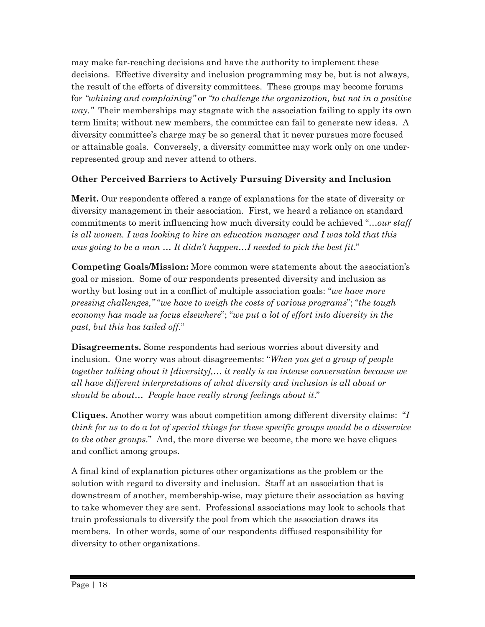may make far-reaching decisions and have the authority to implement these decisions. Effective diversity and inclusion programming may be, but is not always, the result of the efforts of diversity committees. These groups may become forums for *"whining and complaining"* or *"to challenge the organization, but not in a positive way."* Their memberships may stagnate with the association failing to apply its own term limits; without new members, the committee can fail to generate new ideas. A diversity committee's charge may be so general that it never pursues more focused or attainable goals. Conversely, a diversity committee may work only on one underrepresented group and never attend to others.

#### **Other Perceived Barriers to Actively Pursuing Diversity and Inclusion**

**Merit.** Our respondents offered a range of explanations for the state of diversity or diversity management in their association. First, we heard a reliance on standard commitments to merit influencing how much diversity could be achieved "*…our staff is all women. I was looking to hire an education manager and I was told that this was going to be a man … It didn't happen…I needed to pick the best fit*."

**Competing Goals/Mission:** More common were statements about the association's goal or mission. Some of our respondents presented diversity and inclusion as worthy but losing out in a conflict of multiple association goals: "*we have more pressing challenges,"* "*we have to weigh the costs of various programs*"; "*the tough economy has made us focus elsewhere*"; "*we put a lot of effort into diversity in the past, but this has tailed off*."

**Disagreements.** Some respondents had serious worries about diversity and inclusion. One worry was about disagreements: "*When you get a group of people together talking about it [diversity],… it really is an intense conversation because we all have different interpretations of what diversity and inclusion is all about or should be about… People have really strong feelings about it*."

**Cliques.** Another worry was about competition among different diversity claims: "*I think for us to do a lot of special things for these specific groups would be a disservice to the other groups.*" And, the more diverse we become, the more we have cliques and conflict among groups.

A final kind of explanation pictures other organizations as the problem or the solution with regard to diversity and inclusion. Staff at an association that is downstream of another, membership-wise, may picture their association as having to take whomever they are sent. Professional associations may look to schools that train professionals to diversify the pool from which the association draws its members. In other words, some of our respondents diffused responsibility for diversity to other organizations.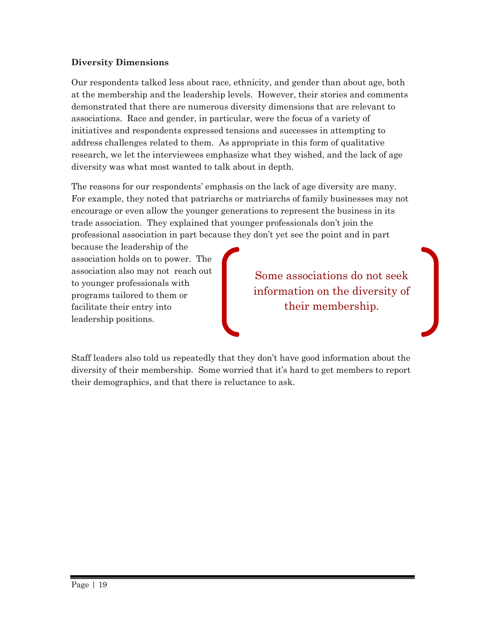#### **Diversity Dimensions**

Our respondents talked less about race, ethnicity, and gender than about age, both at the membership and the leadership levels. However, their stories and comments demonstrated that there are numerous diversity dimensions that are relevant to associations. Race and gender, in particular, were the focus of a variety of initiatives and respondents expressed tensions and successes in attempting to address challenges related to them. As appropriate in this form of qualitative research, we let the interviewees emphasize what they wished, and the lack of age diversity was what most wanted to talk about in depth.

The reasons for our respondents' emphasis on the lack of age diversity are many. For example, they noted that patriarchs or matriarchs of family businesses may not encourage or even allow the younger generations to represent the business in its trade association. They explained that younger professionals don't join the professional association in part because they don't yet see the point and in part

because the leadership of the association holds on to power. The association also may not reach out to younger professionals with programs tailored to them or facilitate their entry into leadership positions.

Some associations do not seek information on the diversity of their membership.

Staff leaders also told us repeatedly that they don't have good information about the diversity of their membership. Some worried that it's hard to get members to report their demographics, and that there is reluctance to ask.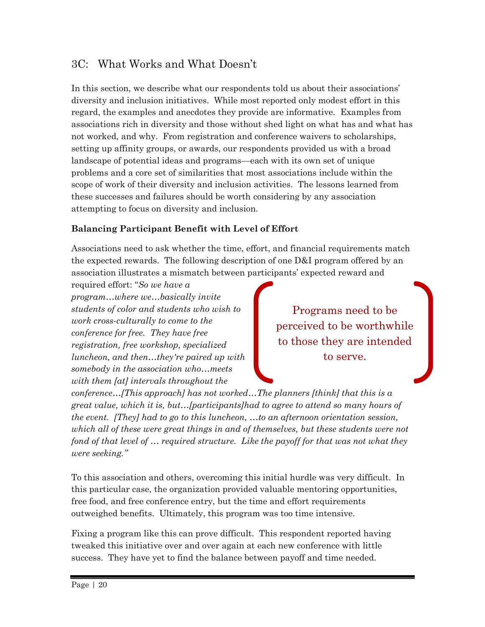### 3C: What Works and What Doesn't

In this section, we describe what our respondents told us about their associations' diversity and inclusion initiatives. While most reported only modest effort in this regard, the examples and anecdotes they provide are informative. Examples from associations rich in diversity and those without shed light on what has and what has not worked, and why. From registration and conference waivers to scholarships, setting up affinity groups, or awards, our respondents provided us with a broad landscape of potential ideas and programs—each with its own set of unique problems and a core set of similarities that most associations include within the scope of work of their diversity and inclusion activities. The lessons learned from these successes and failures should be worth considering by any association attempting to focus on diversity and inclusion.

#### **Balancing Participant Benefit with Level of Effort**

Associations need to ask whether the time, effort, and financial requirements match the expected rewards. The following description of one D&I program offered by an association illustrates a mismatch between participants' expected reward and

required effort: "*So we have a program…where we…basically invite students of color and students who wish to work cross-culturally to come to the conference for free. They have free registration, free workshop, specialized luncheon, and then…they're paired up with somebody in the association who…meets with them [at] intervals throughout the* 

Programs need to be perceived to be worthwhile to those they are intended to serve.

*conference…[This approach] has not worked…The planners [think] that this is a great value, which it is, but…[participants]had to agree to attend so many hours of the event. [They] had to go to this luncheon, …to an afternoon orientation session, which all of these were great things in and of themselves, but these students were not fond of that level of … required structure. Like the payoff for that was not what they were seeking."*

To this association and others, overcoming this initial hurdle was very difficult. In this particular case, the organization provided valuable mentoring opportunities, free food, and free conference entry, but the time and effort requirements outweighed benefits. Ultimately, this program was too time intensive.

Fixing a program like this can prove difficult. This respondent reported having tweaked this initiative over and over again at each new conference with little success. They have yet to find the balance between payoff and time needed.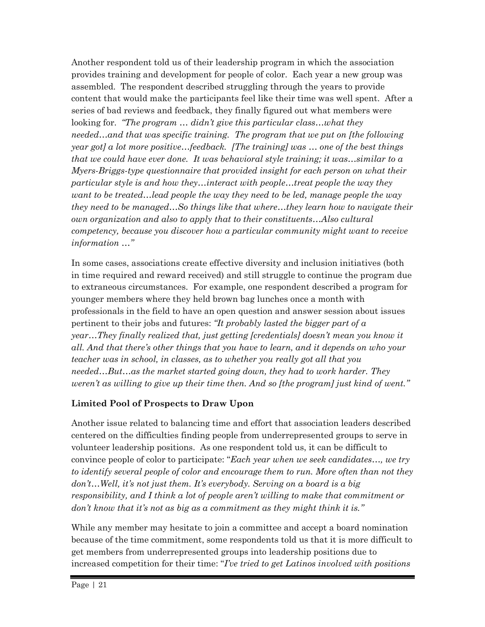Another respondent told us of their leadership program in which the association provides training and development for people of color. Each year a new group was assembled. The respondent described struggling through the years to provide content that would make the participants feel like their time was well spent. After a series of bad reviews and feedback, they finally figured out what members were looking for. *"The program … didn't give this particular class…what they needed…and that was specific training. The program that we put on [the following year got] a lot more positive…feedback. [The training] was … one of the best things that we could have ever done. It was behavioral style training; it was…similar to a Myers-Briggs-type questionnaire that provided insight for each person on what their particular style is and how they…interact with people…treat people the way they want to be treated…lead people the way they need to be led, manage people the way they need to be managed…So things like that where…they learn how to navigate their own organization and also to apply that to their constituents…Also cultural competency, because you discover how a particular community might want to receive information …"*

In some cases, associations create effective diversity and inclusion initiatives (both in time required and reward received) and still struggle to continue the program due to extraneous circumstances. For example, one respondent described a program for younger members where they held brown bag lunches once a month with professionals in the field to have an open question and answer session about issues pertinent to their jobs and futures: *"It probably lasted the bigger part of a year…They finally realized that, just getting [credentials] doesn't mean you know it all. And that there's other things that you have to learn, and it depends on who your teacher was in school, in classes, as to whether you really got all that you needed…But…as the market started going down, they had to work harder. They weren't as willing to give up their time then. And so [the program] just kind of went."*

#### **Limited Pool of Prospects to Draw Upon**

Another issue related to balancing time and effort that association leaders described centered on the difficulties finding people from underrepresented groups to serve in volunteer leadership positions. As one respondent told us, it can be difficult to convince people of color to participate: "*Each year when we seek candidates…, we try to identify several people of color and encourage them to run. More often than not they don't…Well, it's not just them. It's everybody. Serving on a board is a big responsibility, and I think a lot of people aren't willing to make that commitment or don't know that it's not as big as a commitment as they might think it is."*

While any member may hesitate to join a committee and accept a board nomination because of the time commitment, some respondents told us that it is more difficult to get members from underrepresented groups into leadership positions due to increased competition for their time: "*I've tried to get Latinos involved with positions*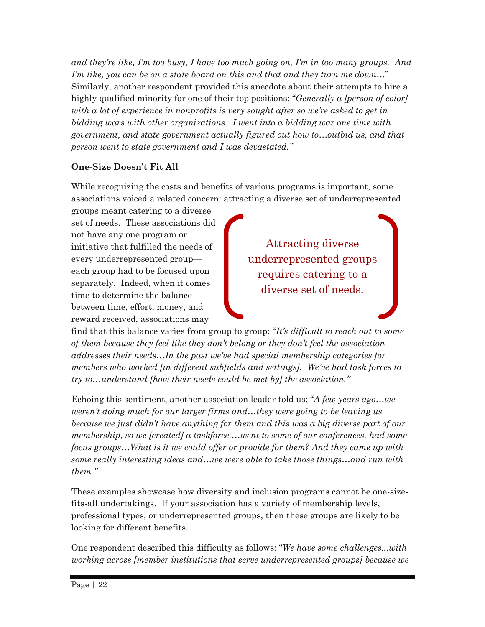*and they're like, I'm too busy, I have too much going on, I'm in too many groups. And I'm like, you can be on a state board on this and that and they turn me down…*" Similarly, another respondent provided this anecdote about their attempts to hire a highly qualified minority for one of their top positions: "*Generally a [person of color] with a lot of experience in nonprofits is very sought after so we're asked to get in bidding wars with other organizations. I went into a bidding war one time with government, and state government actually figured out how to…outbid us, and that person went to state government and I was devastated."*

#### **One-Size Doesn't Fit All**

While recognizing the costs and benefits of various programs is important, some associations voiced a related concern: attracting a diverse set of underrepresented

groups meant catering to a diverse set of needs. These associations did not have any one program or initiative that fulfilled the needs of every underrepresented group each group had to be focused upon separately. Indeed, when it comes time to determine the balance between time, effort, money, and reward received, associations may

Attracting diverse underrepresented groups requires catering to a diverse set of needs.

find that this balance varies from group to group: "*It's difficult to reach out to some of them because they feel like they don't belong or they don't feel the association addresses their needs…In the past we've had special membership categories for members who worked [in different subfields and settings]. We've had task forces to try to…understand [how their needs could be met by] the association."*

Echoing this sentiment, another association leader told us: "*A few years ago…we weren't doing much for our larger firms and…they were going to be leaving us because we just didn't have anything for them and this was a big diverse part of our membership, so we [created] a taskforce,…went to some of our conferences, had some focus groups…What is it we could offer or provide for them? And they came up with some really interesting ideas and…we were able to take those things…and run with them."*

These examples showcase how diversity and inclusion programs cannot be one-sizefits-all undertakings. If your association has a variety of membership levels, professional types, or underrepresented groups, then these groups are likely to be looking for different benefits.

One respondent described this difficulty as follows: "*We have some challenges...with working across [member institutions that serve underrepresented groups] because we*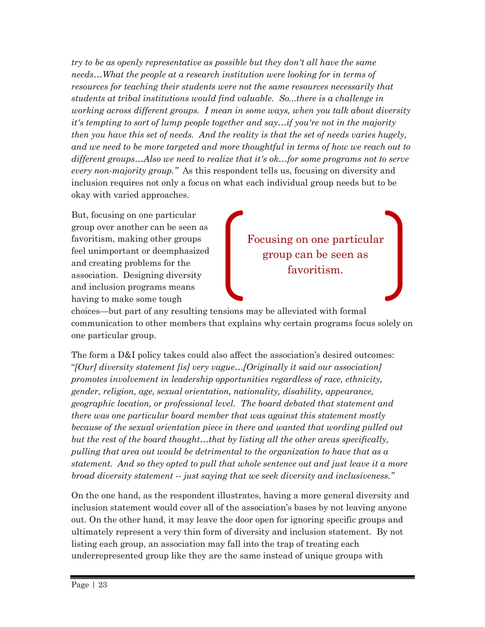*try to be as openly representative as possible but they don't all have the same needs…What the people at a research institution were looking for in terms of resources for teaching their students were not the same resources necessarily that students at tribal institutions would find valuable. So...there is a challenge in working across different groups. I mean in some ways, when you talk about diversity it's tempting to sort of lump people together and say…if you're not in the majority then you have this set of needs. And the reality is that the set of needs varies hugely, and we need to be more targeted and more thoughtful in terms of how we reach out to different groups…Also we need to realize that it's ok…for some programs not to serve every non-majority group."* As this respondent tells us, focusing on diversity and inclusion requires not only a focus on what each individual group needs but to be okay with varied approaches.

But, focusing on one particular group over another can be seen as favoritism, making other groups feel unimportant or deemphasized and creating problems for the association. Designing diversity and inclusion programs means having to make some tough

Focusing on one particular group can be seen as favoritism.

choices—but part of any resulting tensions may be alleviated with formal communication to other members that explains why certain programs focus solely on one particular group.

The form a D&I policy takes could also affect the association's desired outcomes: "*[Our] diversity statement [is] very vague…[Originally it said our association] promotes involvement in leadership opportunities regardless of race, ethnicity, gender, religion, age, sexual orientation, nationality, disability, appearance, geographic location, or professional level. The board debated that statement and there was one particular board member that was against this statement mostly because of the sexual orientation piece in there and wanted that wording pulled out but the rest of the board thought…that by listing all the other areas specifically, pulling that area out would be detrimental to the organization to have that as a statement. And so they opted to pull that whole sentence out and just leave it a more broad diversity statement -- just saying that we seek diversity and inclusiveness."* 

On the one hand, as the respondent illustrates, having a more general diversity and inclusion statement would cover all of the association's bases by not leaving anyone out. On the other hand, it may leave the door open for ignoring specific groups and ultimately represent a very thin form of diversity and inclusion statement. By not listing each group, an association may fall into the trap of treating each underrepresented group like they are the same instead of unique groups with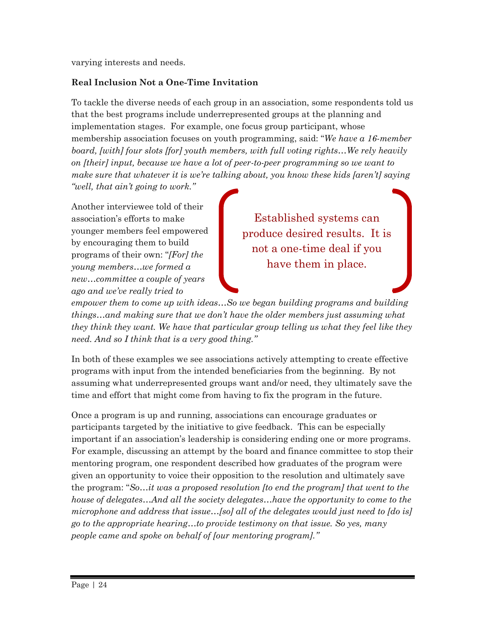varying interests and needs.

#### **Real Inclusion Not a One-Time Invitation**

To tackle the diverse needs of each group in an association, some respondents told us that the best programs include underrepresented groups at the planning and implementation stages. For example, one focus group participant, whose membership association focuses on youth programming, said: "*We have a 16-member board, [with] four slots [for] youth members, with full voting rights…We rely heavily on [their] input, because we have a lot of peer-to-peer programming so we want to make sure that whatever it is we're talking about, you know these kids [aren't] saying "well, that ain't going to work."* 

Another interviewee told of their association's efforts to make younger members feel empowered by encouraging them to build programs of their own: "*[For] the young members…we formed a new…committee a couple of years ago and we've really tried to* 

Established systems can produce desired results. It is not a one-time deal if you have them in place.

*empower them to come up with ideas…So we began building programs and building things…and making sure that we don't have the older members just assuming what they think they want. We have that particular group telling us what they feel like they need. And so I think that is a very good thing."*

In both of these examples we see associations actively attempting to create effective programs with input from the intended beneficiaries from the beginning. By not assuming what underrepresented groups want and/or need, they ultimately save the time and effort that might come from having to fix the program in the future.

Once a program is up and running, associations can encourage graduates or participants targeted by the initiative to give feedback. This can be especially important if an association's leadership is considering ending one or more programs. For example, discussing an attempt by the board and finance committee to stop their mentoring program, one respondent described how graduates of the program were given an opportunity to voice their opposition to the resolution and ultimately save the program: "*So…it was a proposed resolution [to end the program] that went to the house of delegates…And all the society delegates…have the opportunity to come to the microphone and address that issue…[so] all of the delegates would just need to [do is] go to the appropriate hearing…to provide testimony on that issue. So yes, many people came and spoke on behalf of [our mentoring program]."*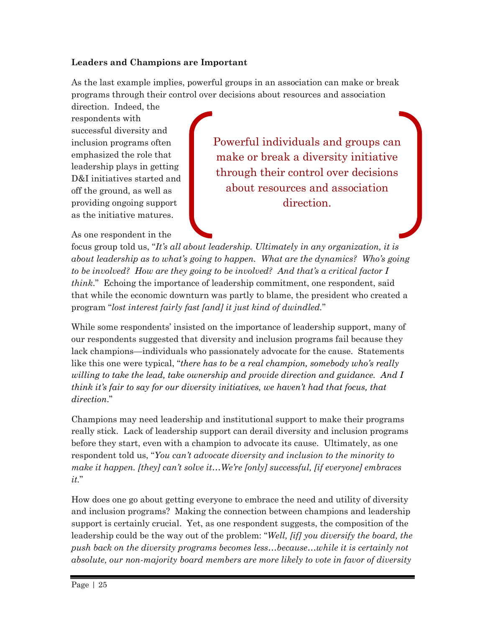#### **Leaders and Champions are Important**

As the last example implies, powerful groups in an association can make or break programs through their control over decisions about resources and association

direction. Indeed, the respondents with successful diversity and inclusion programs often emphasized the role that leadership plays in getting D&I initiatives started and off the ground, as well as providing ongoing support as the initiative matures.

As one respondent in the

Powerful individuals and groups can make or break a diversity initiative through their control over decisions about resources and association direction.

focus group told us, "*It's all about leadership. Ultimately in any organization, it is about leadership as to what's going to happen. What are the dynamics? Who's going to be involved? How are they going to be involved? And that's a critical factor I think*." Echoing the importance of leadership commitment, one respondent, said that while the economic downturn was partly to blame, the president who created a program "*lost interest fairly fast [and] it just kind of dwindled.*"

While some respondents' insisted on the importance of leadership support, many of our respondents suggested that diversity and inclusion programs fail because they lack champions—individuals who passionately advocate for the cause. Statements like this one were typical, "*there has to be a real champion, somebody who's really willing to take the lead, take ownership and provide direction and guidance. And I think it's fair to say for our diversity initiatives, we haven't had that focus, that direction*."

Champions may need leadership and institutional support to make their programs really stick. Lack of leadership support can derail diversity and inclusion programs before they start, even with a champion to advocate its cause. Ultimately, as one respondent told us, "*You can't advocate diversity and inclusion to the minority to make it happen. [they] can't solve it…We're [only] successful, [if everyone] embraces it.*"

How does one go about getting everyone to embrace the need and utility of diversity and inclusion programs? Making the connection between champions and leadership support is certainly crucial. Yet, as one respondent suggests, the composition of the leadership could be the way out of the problem: "*Well, [if] you diversify the board, the push back on the diversity programs becomes less…because…while it is certainly not absolute, our non-majority board members are more likely to vote in favor of diversity*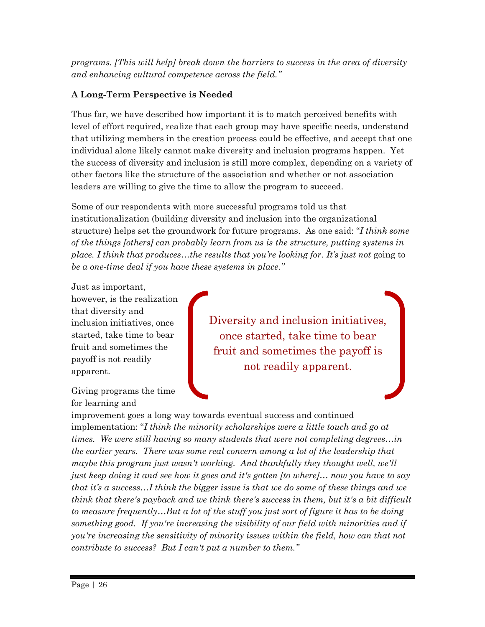*programs. [This will help] break down the barriers to success in the area of diversity and enhancing cultural competence across the field."*

#### **A Long-Term Perspective is Needed**

Thus far, we have described how important it is to match perceived benefits with level of effort required, realize that each group may have specific needs, understand that utilizing members in the creation process could be effective, and accept that one individual alone likely cannot make diversity and inclusion programs happen. Yet the success of diversity and inclusion is still more complex, depending on a variety of other factors like the structure of the association and whether or not association leaders are willing to give the time to allow the program to succeed.

Some of our respondents with more successful programs told us that institutionalization (building diversity and inclusion into the organizational structure) helps set the groundwork for future programs. As one said: "*I think some of the things [others] can probably learn from us is the structure, putting systems in place. I think that produces…the results that you're looking for*. *It's just not* going to *be a one-time deal if you have these systems in place."*

Just as important, however, is the realization that diversity and inclusion initiatives, once started, take time to bear fruit and sometimes the payoff is not readily apparent.

Giving programs the time for learning and

Diversity and inclusion initiatives, once started, take time to bear fruit and sometimes the payoff is not readily apparent.

improvement goes a long way towards eventual success and continued implementation: "*I think the minority scholarships were a little touch and go at times. We were still having so many students that were not completing degrees…in the earlier years. There was some real concern among a lot of the leadership that maybe this program just wasn't working. And thankfully they thought well, we'll just keep doing it and see how it goes and it's gotten [to where]… now you have to say that it's a success…I think the bigger issue is that we do some of these things and we think that there's payback and we think there's success in them, but it's a bit difficult to measure frequently…But a lot of the stuff you just sort of figure it has to be doing something good. If you're increasing the visibility of our field with minorities and if you're increasing the sensitivity of minority issues within the field, how can that not contribute to success? But I can't put a number to them."*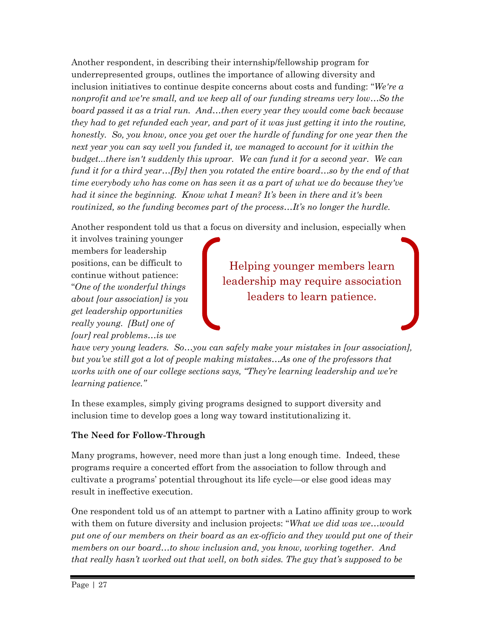Another respondent, in describing their internship/fellowship program for underrepresented groups, outlines the importance of allowing diversity and inclusion initiatives to continue despite concerns about costs and funding: "*We're a nonprofit and we're small, and we keep all of our funding streams very low…So the board passed it as a trial run. And…then every year they would come back because they had to get refunded each year, and part of it was just getting it into the routine, honestly.* So, you know, once you get over the hurdle of funding for one year then the *next year you can say well you funded it, we managed to account for it within the budget...there isn't suddenly this uproar. We can fund it for a second year. We can fund it for a third year…[By] then you rotated the entire board…so by the end of that time everybody who has come on has seen it as a part of what we do because they've had it since the beginning. Know what I mean? It's been in there and it's been routinized, so the funding becomes part of the process…It's no longer the hurdle.* 

Another respondent told us that a focus on diversity and inclusion, especially when

it involves training younger members for leadership positions, can be difficult to continue without patience: "*One of the wonderful things about [our association] is you get leadership opportunities really young. [But] one of [our] real problems…is we* 

Helping younger members learn leadership may require association leaders to learn patience.

*have very young leaders. So…you can safely make your mistakes in [our association], but you've still got a lot of people making mistakes…As one of the professors that works with one of our college sections says, "They're learning leadership and we're learning patience."* 

In these examples, simply giving programs designed to support diversity and inclusion time to develop goes a long way toward institutionalizing it.

### **The Need for Follow-Through**

Many programs, however, need more than just a long enough time. Indeed, these programs require a concerted effort from the association to follow through and cultivate a programs' potential throughout its life cycle—or else good ideas may result in ineffective execution.

One respondent told us of an attempt to partner with a Latino affinity group to work with them on future diversity and inclusion projects: "*What we did was we…would put one of our members on their board as an ex-officio and they would put one of their members on our board…to show inclusion and, you know, working together. And that really hasn't worked out that well, on both sides. The guy that's supposed to be*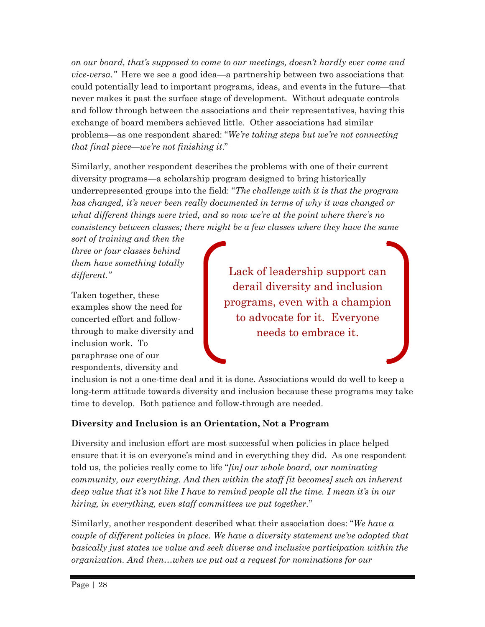*on our board, that's supposed to come to our meetings, doesn't hardly ever come and vice-versa."* Here we see a good idea—a partnership between two associations that could potentially lead to important programs, ideas, and events in the future—that never makes it past the surface stage of development. Without adequate controls and follow through between the associations and their representatives, having this exchange of board members achieved little. Other associations had similar problems—as one respondent shared: "*We're taking steps but we're not connecting that final piece—we're not finishing it*."

Similarly, another respondent describes the problems with one of their current diversity programs—a scholarship program designed to bring historically underrepresented groups into the field: "*The challenge with it is that the program has changed, it's never been really documented in terms of why it was changed or what different things were tried, and so now we're at the point where there's no consistency between classes; there might be a few classes where they have the same* 

*sort of training and then the three or four classes behind them have something totally different."*

Taken together, these examples show the need for concerted effort and followthrough to make diversity and inclusion work. To paraphrase one of our respondents, diversity and

Lack of leadership support can derail diversity and inclusion programs, even with a champion to advocate for it. Everyone needs to embrace it.

inclusion is not a one-time deal and it is done. Associations would do well to keep a long-term attitude towards diversity and inclusion because these programs may take time to develop. Both patience and follow-through are needed.

#### **Diversity and Inclusion is an Orientation, Not a Program**

Diversity and inclusion effort are most successful when policies in place helped ensure that it is on everyone's mind and in everything they did. As one respondent told us, the policies really come to life "*[in] our whole board, our nominating community, our everything. And then within the staff [it becomes] such an inherent deep value that it's not like I have to remind people all the time. I mean it's in our hiring, in everything, even staff committees we put together.*"

Similarly, another respondent described what their association does: "*We have a couple of different policies in place. We have a diversity statement we've adopted that*  basically just states we value and seek diverse and inclusive participation within the *organization. And then…when we put out a request for nominations for our*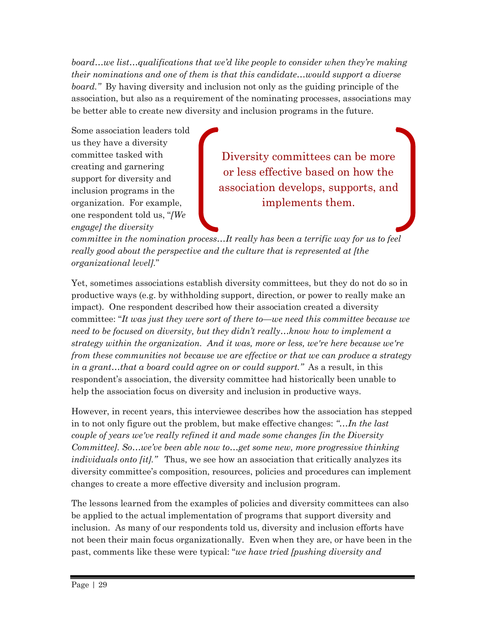*board…we list…qualifications that we'd like people to consider when they're making their nominations and one of them is that this candidate…would support a diverse board."* By having diversity and inclusion not only as the guiding principle of the association, but also as a requirement of the nominating processes, associations may be better able to create new diversity and inclusion programs in the future.

Some association leaders told us they have a diversity committee tasked with creating and garnering support for diversity and inclusion programs in the organization. For example, one respondent told us, "*[We engage] the diversity* 

Diversity committees can be more or less effective based on how the association develops, supports, and implements them.

*committee in the nomination process…It really has been a terrific way for us to feel really good about the perspective and the culture that is represented at [the organizational level].*"

Yet, sometimes associations establish diversity committees, but they do not do so in productive ways (e.g. by withholding support, direction, or power to really make an impact). One respondent described how their association created a diversity committee: "*It was just they were sort of there to—we need this committee because we need to be focused on diversity, but they didn't really…know how to implement a strategy within the organization. And it was, more or less, we're here because we're from these communities not because we are effective or that we can produce a strategy in a grant…that a board could agree on or could support."* As a result, in this respondent's association, the diversity committee had historically been unable to help the association focus on diversity and inclusion in productive ways.

However, in recent years, this interviewee describes how the association has stepped in to not only figure out the problem, but make effective changes: *"…In the last couple of years we've really refined it and made some changes [in the Diversity Committee]. So…we've been able now to…get some new, more progressive thinking individuals onto [it]."* Thus, we see how an association that critically analyzes its diversity committee's composition, resources, policies and procedures can implement changes to create a more effective diversity and inclusion program.

The lessons learned from the examples of policies and diversity committees can also be applied to the actual implementation of programs that support diversity and inclusion. As many of our respondents told us, diversity and inclusion efforts have not been their main focus organizationally. Even when they are, or have been in the past, comments like these were typical: "*we have tried [pushing diversity and*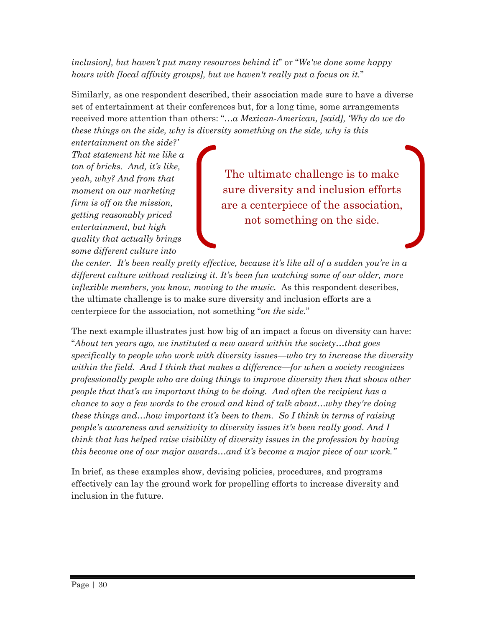*inclusion], but haven't put many resources behind it*" or "*We've done some happy hours with [local affinity groups], but we haven't really put a focus on it.*"

Similarly, as one respondent described, their association made sure to have a diverse set of entertainment at their conferences but, for a long time, some arrangements received more attention than others: "*…a Mexican-American, [said], 'Why do we do these things on the side, why is diversity something on the side, why is this* 

*entertainment on the side?' That statement hit me like a ton of bricks. And, it's like, yeah, why? And from that moment on our marketing firm is off on the mission, getting reasonably priced entertainment, but high quality that actually brings some different culture into* 

The ultimate challenge is to make sure diversity and inclusion efforts are a centerpiece of the association, not something on the side.

*the center. It's been really pretty effective, because it's like all of a sudden you're in a different culture without realizing it. It's been fun watching some of our older, more inflexible members, you know, moving to the music.* As this respondent describes, the ultimate challenge is to make sure diversity and inclusion efforts are a centerpiece for the association, not something "*on the side.*"

The next example illustrates just how big of an impact a focus on diversity can have: "*About ten years ago, we instituted a new award within the society…that goes specifically to people who work with diversity issues—who try to increase the diversity within the field. And I think that makes a difference—for when a society recognizes professionally people who are doing things to improve diversity then that shows other people that that's an important thing to be doing. And often the recipient has a chance to say a few words to the crowd and kind of talk about…why they're doing these things and…how important it's been to them. So I think in terms of raising people's awareness and sensitivity to diversity issues it's been really good. And I think that has helped raise visibility of diversity issues in the profession by having this become one of our major awards…and it's become a major piece of our work."* 

In brief, as these examples show, devising policies, procedures, and programs effectively can lay the ground work for propelling efforts to increase diversity and inclusion in the future.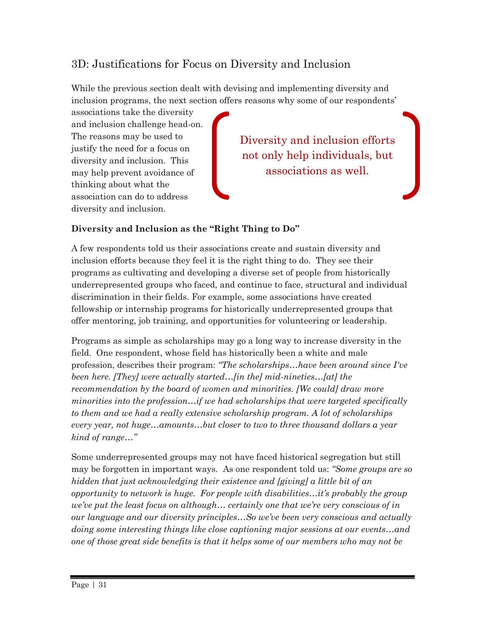### 3D: Justifications for Focus on Diversity and Inclusion

While the previous section dealt with devising and implementing diversity and inclusion programs, the next section offers reasons why some of our respondents'

associations take the diversity and inclusion challenge head-on. The reasons may be used to justify the need for a focus on diversity and inclusion. This may help prevent avoidance of thinking about what the association can do to address diversity and inclusion.

Diversity and inclusion efforts not only help individuals, but associations as well.

#### **Diversity and Inclusion as the "Right Thing to Do"**

A few respondents told us their associations create and sustain diversity and inclusion efforts because they feel it is the right thing to do. They see their programs as cultivating and developing a diverse set of people from historically underrepresented groups who faced, and continue to face, structural and individual discrimination in their fields. For example, some associations have created fellowship or internship programs for historically underrepresented groups that offer mentoring, job training, and opportunities for volunteering or leadership.

Programs as simple as scholarships may go a long way to increase diversity in the field. One respondent, whose field has historically been a white and male profession, describes their program: *"The scholarships…have been around since I've been here. [They] were actually started…[in the] mid-nineties…[at] the recommendation by the board of women and minorities. [We could] draw more minorities into the profession…if we had scholarships that were targeted specifically to them and we had a really extensive scholarship program. A lot of scholarships every year, not huge…amounts…but closer to two to three thousand dollars a year kind of range…"* 

Some underrepresented groups may not have faced historical segregation but still may be forgotten in important ways. As one respondent told us: *"Some groups are so hidden that just acknowledging their existence and [giving] a little bit of an opportunity to network is huge. For people with disabilities…it's probably the group we've put the least focus on although… certainly one that we're very conscious of in our language and our diversity principles…So we've been very conscious and actually doing some interesting things like close captioning major sessions at our events…and one of those great side benefits is that it helps some of our members who may not be*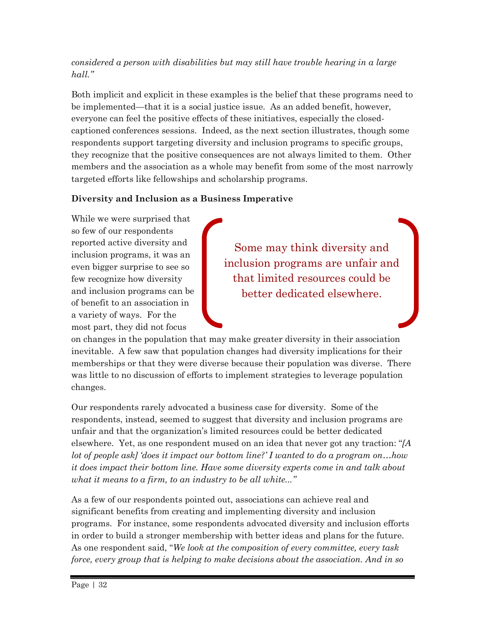#### *considered a person with disabilities but may still have trouble hearing in a large hall."*

Both implicit and explicit in these examples is the belief that these programs need to be implemented—that it is a social justice issue. As an added benefit, however, everyone can feel the positive effects of these initiatives, especially the closedcaptioned conferences sessions. Indeed, as the next section illustrates, though some respondents support targeting diversity and inclusion programs to specific groups, they recognize that the positive consequences are not always limited to them. Other members and the association as a whole may benefit from some of the most narrowly targeted efforts like fellowships and scholarship programs.

#### **Diversity and Inclusion as a Business Imperative**

While we were surprised that so few of our respondents reported active diversity and inclusion programs, it was an even bigger surprise to see so few recognize how diversity and inclusion programs can be of benefit to an association in a variety of ways. For the most part, they did not focus

Some may think diversity and inclusion programs are unfair and that limited resources could be better dedicated elsewhere.

on changes in the population that may make greater diversity in their association inevitable. A few saw that population changes had diversity implications for their memberships or that they were diverse because their population was diverse. There was little to no discussion of efforts to implement strategies to leverage population changes.

Our respondents rarely advocated a business case for diversity. Some of the respondents, instead, seemed to suggest that diversity and inclusion programs are unfair and that the organization's limited resources could be better dedicated elsewhere. Yet, as one respondent mused on an idea that never got any traction: "*[A lot of people ask] 'does it impact our bottom line?' I wanted to do a program on…how it does impact their bottom line. Have some diversity experts come in and talk about what it means to a firm, to an industry to be all white..."*

As a few of our respondents pointed out, associations can achieve real and significant benefits from creating and implementing diversity and inclusion programs. For instance, some respondents advocated diversity and inclusion efforts in order to build a stronger membership with better ideas and plans for the future. As one respondent said, "*We look at the composition of every committee, every task force, every group that is helping to make decisions about the association. And in so*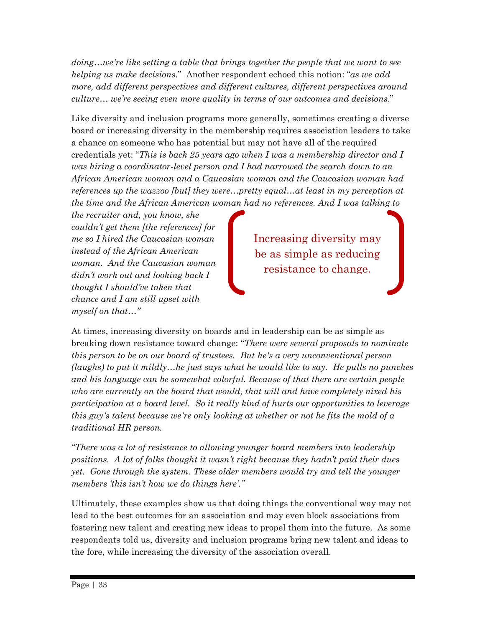*doing…we're like setting a table that brings together the people that we want to see helping us make decisions.*" Another respondent echoed this notion: "*as we add more, add different perspectives and different cultures, different perspectives around culture… we're seeing even more quality in terms of our outcomes and decisions*."

Like diversity and inclusion programs more generally, sometimes creating a diverse board or increasing diversity in the membership requires association leaders to take a chance on someone who has potential but may not have all of the required credentials yet: "*This is back 25 years ago when I was a membership director and I was hiring a coordinator-level person and I had narrowed the search down to an African American woman and a Caucasian woman and the Caucasian woman had references up the wazzoo [but] they were…pretty equal…at least in my perception at the time and the African American woman had no references. And I was talking to* 

*the recruiter and, you know, she couldn't get them [the references] for me so I hired the Caucasian woman instead of the African American woman. And the Caucasian woman didn't work out and looking back I thought I should've taken that chance and I am still upset with myself on that…"*

Increasing diversity may be as simple as reducing resistance to change.

At times, increasing diversity on boards and in leadership can be as simple as breaking down resistance toward change: "*There were several proposals to nominate this person to be on our board of trustees. But he's a very unconventional person (laughs) to put it mildly…he just says what he would like to say. He pulls no punches and his language can be somewhat colorful. Because of that there are certain people who are currently on the board that would, that will and have completely nixed his participation at a board level. So it really kind of hurts our opportunities to leverage this guy's talent because we're only looking at whether or not he fits the mold of a traditional HR person.* 

*"There was a lot of resistance to allowing younger board members into leadership positions. A lot of folks thought it wasn't right because they hadn't paid their dues yet.* Gone through the system. These older members would try and tell the younger *members 'this isn't how we do things here'."* 

Ultimately, these examples show us that doing things the conventional way may not lead to the best outcomes for an association and may even block associations from fostering new talent and creating new ideas to propel them into the future. As some respondents told us, diversity and inclusion programs bring new talent and ideas to the fore, while increasing the diversity of the association overall.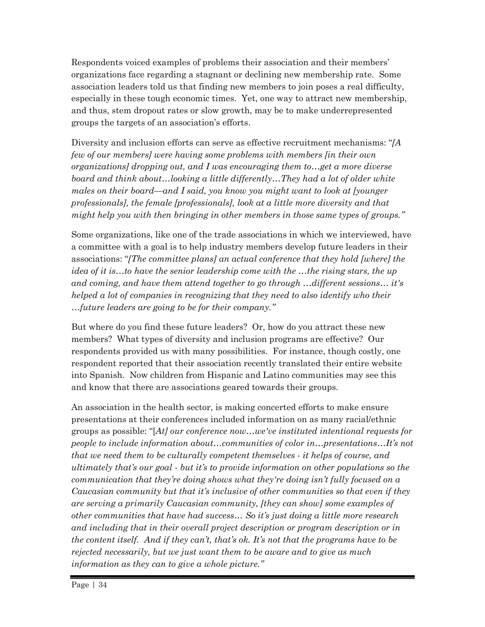Respondents voiced examples of problems their association and their members' organizations face regarding a stagnant or declining new membership rate. Some association leaders told us that finding new members to join poses a real difficulty, especially in these tough economic times. Yet, one way to attract new membership, and thus, stem dropout rates or slow growth, may be to make underrepresented groups the targets of an association's efforts.

Diversity and inclusion efforts can serve as effective recruitment mechanisms: "*[A few of our members] were having some problems with members [in their own organizations] dropping out, and I was encouraging them to…get a more diverse board and think about…looking a little differently…They had a lot of older white males on their board—and I said, you know you might want to look at [younger professionals], the female [professionals], look at a little more diversity and that might help you with then bringing in other members in those same types of groups."*

Some organizations, like one of the trade associations in which we interviewed, have a committee with a goal is to help industry members develop future leaders in their associations: "*[The committee plans] an actual conference that they hold [where] the idea of it is…to have the senior leadership come with the …the rising stars, the up and coming, and have them attend together to go through …different sessions… it's helped a lot of companies in recognizing that they need to also identify who their …future leaders are going to be for their company."*

But where do you find these future leaders? Or, how do you attract these new members? What types of diversity and inclusion programs are effective? Our respondents provided us with many possibilities. For instance, though costly, one respondent reported that their association recently translated their entire website into Spanish. Now children from Hispanic and Latino communities may see this and know that there are associations geared towards their groups.

An association in the health sector, is making concerted efforts to make ensure presentations at their conferences included information on as many racial/ethnic groups as possible: "[*At] our conference now…we've instituted intentional requests for people to include information about...communities of color in...presentations...It's not that we need them to be culturally competent themselves - it helps of course, and ultimately that's our goal - but it's to provide information on other populations so the communication that they're doing shows what they're doing isn't fully focused on a Caucasian community but that it's inclusive of other communities so that even if they are serving a primarily Caucasian community, [they can show] some examples of other communities that have had success… So it's just doing a little more research and including that in their overall project description or program description or in the content itself. And if they can't, that's ok. It's not that the programs have to be rejected necessarily, but we just want them to be aware and to give as much information as they can to give a whole picture."*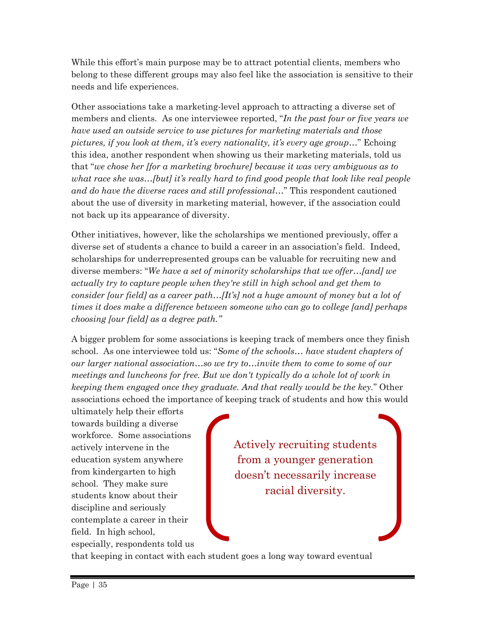While this effort's main purpose may be to attract potential clients, members who belong to these different groups may also feel like the association is sensitive to their needs and life experiences.

Other associations take a marketing-level approach to attracting a diverse set of members and clients. As one interviewee reported, "*In the past four or five years we have used an outside service to use pictures for marketing materials and those pictures, if you look at them, it's every nationality, it's every age group…*" Echoing this idea, another respondent when showing us their marketing materials, told us that "*we chose her [for a marketing brochure] because it was very ambiguous as to what race she was…[but] it's really hard to find good people that look like real people and do have the diverse races and still professional…*" This respondent cautioned about the use of diversity in marketing material, however, if the association could not back up its appearance of diversity.

Other initiatives, however, like the scholarships we mentioned previously, offer a diverse set of students a chance to build a career in an association's field. Indeed, scholarships for underrepresented groups can be valuable for recruiting new and diverse members: "*We have a set of minority scholarships that we offer…[and] we actually try to capture people when they're still in high school and get them to consider [our field] as a career path...[It's] not a huge amount of money but a lot of times it does make a difference between someone who can go to college [and] perhaps choosing [our field] as a degree path."*

A bigger problem for some associations is keeping track of members once they finish school. As one interviewee told us: "*Some of the schools… have student chapters of our larger national association…so we try to…invite them to come to some of our meetings and luncheons for free. But we don't typically do a whole lot of work in keeping them engaged once they graduate. And that really would be the key.*" Other associations echoed the importance of keeping track of students and how this would

ultimately help their efforts towards building a diverse workforce. Some associations actively intervene in the education system anywhere from kindergarten to high school. They make sure students know about their discipline and seriously contemplate a career in their field. In high school, especially, respondents told us

Actively recruiting students from a younger generation doesn't necessarily increase racial diversity.

that keeping in contact with each student goes a long way toward eventual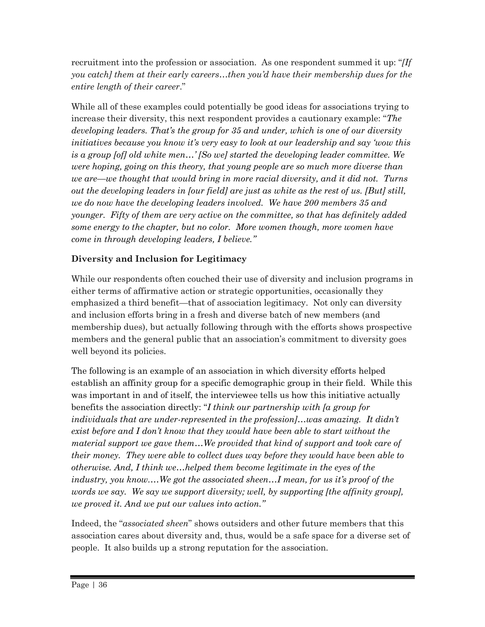recruitment into the profession or association. As one respondent summed it up: "*[If you catch] them at their early careers...then you'd have their membership dues for the entire length of their career*."

While all of these examples could potentially be good ideas for associations trying to increase their diversity, this next respondent provides a cautionary example: "*The developing leaders. That's the group for 35 and under, which is one of our diversity initiatives because you know it's very easy to look at our leadership and say 'wow this is a group [of] old white men…' [So we] started the developing leader committee. We were hoping, going on this theory, that young people are so much more diverse than we are—we thought that would bring in more racial diversity, and it did not. Turns out the developing leaders in [our field] are just as white as the rest of us. [But] still, we do now have the developing leaders involved. We have 200 members 35 and younger. Fifty of them are very active on the committee, so that has definitely added some energy to the chapter, but no color. More women though, more women have come in through developing leaders, I believe."*

#### **Diversity and Inclusion for Legitimacy**

While our respondents often couched their use of diversity and inclusion programs in either terms of affirmative action or strategic opportunities, occasionally they emphasized a third benefit—that of association legitimacy. Not only can diversity and inclusion efforts bring in a fresh and diverse batch of new members (and membership dues), but actually following through with the efforts shows prospective members and the general public that an association's commitment to diversity goes well beyond its policies.

The following is an example of an association in which diversity efforts helped establish an affinity group for a specific demographic group in their field. While this was important in and of itself, the interviewee tells us how this initiative actually benefits the association directly: "*I think our partnership with [a group for individuals that are under-represented in the profession]…was amazing. It didn't exist before and I don't know that they would have been able to start without the material support we gave them…We provided that kind of support and took care of their money. They were able to collect dues way before they would have been able to otherwise. And, I think we…helped them become legitimate in the eyes of the industry, you know.…We got the associated sheen…I mean, for us it's proof of the words we say. We say we support diversity; well, by supporting [the affinity group], we proved it. And we put our values into action."*

Indeed, the "*associated sheen*" shows outsiders and other future members that this association cares about diversity and, thus, would be a safe space for a diverse set of people. It also builds up a strong reputation for the association.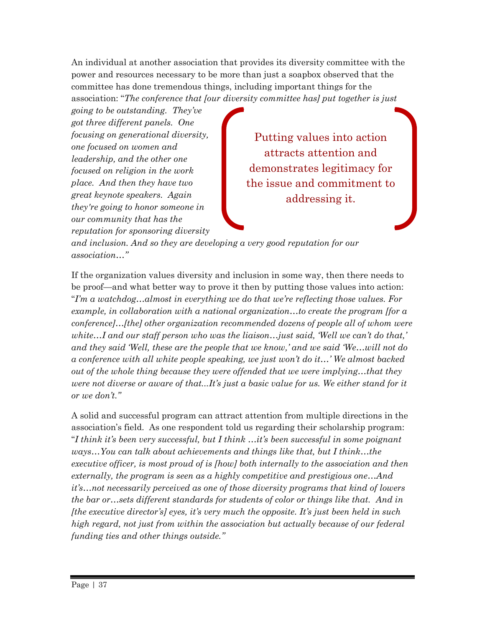An individual at another association that provides its diversity committee with the power and resources necessary to be more than just a soapbox observed that the committee has done tremendous things, including important things for the association: "*The conference that [our diversity committee has] put together is just* 

*going to be outstanding. They've got three different panels. One focusing on generational diversity, one focused on women and leadership, and the other one focused on religion in the work place. And then they have two great keynote speakers. Again they're going to honor someone in our community that has the reputation for sponsoring diversity* 

Putting values into action attracts attention and demonstrates legitimacy for the issue and commitment to addressing it.

*and inclusion. And so they are developing a very good reputation for our association…"*

If the organization values diversity and inclusion in some way, then there needs to be proof—and what better way to prove it then by putting those values into action: "*I'm a watchdog…almost in everything we do that we're reflecting those values. For example, in collaboration with a national organization…to create the program [for a conference]…[the] other organization recommended dozens of people all of whom were white…I and our staff person who was the liaison…just said, 'Well we can't do that,' and they said 'Well, these are the people that we know,' and we said 'We…will not do a conference with all white people speaking, we just won't do it…' We almost backed out of the whole thing because they were offended that we were implying…that they were not diverse or aware of that...It's just a basic value for us. We either stand for it or we don't."*

A solid and successful program can attract attention from multiple directions in the association's field. As one respondent told us regarding their scholarship program: "*I think it's been very successful, but I think …it's been successful in some poignant ways*...You can talk about achievements and things like that, but I think...the *executive officer, is most proud of is [how] both internally to the association and then externally, the program is seen as a highly competitive and prestigious one…And it's…not necessarily perceived as one of those diversity programs that kind of lowers the bar or…sets different standards for students of color or things like that. And in [the executive director's] eyes, it's very much the opposite. It's just been held in such high regard, not just from within the association but actually because of our federal funding ties and other things outside."*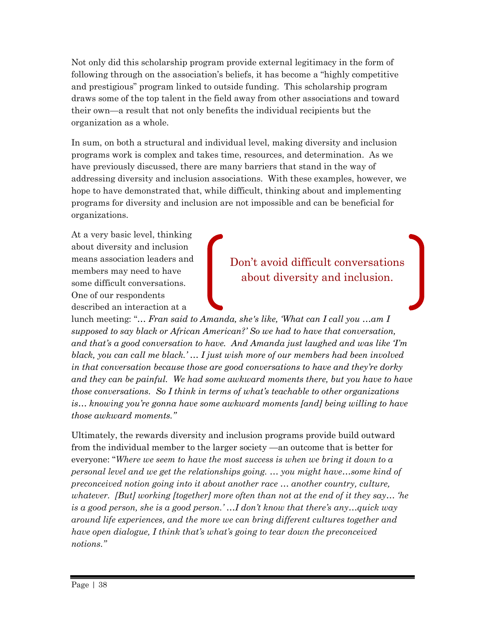Not only did this scholarship program provide external legitimacy in the form of following through on the association's beliefs, it has become a "highly competitive and prestigious" program linked to outside funding. This scholarship program draws some of the top talent in the field away from other associations and toward their own—a result that not only benefits the individual recipients but the organization as a whole.

In sum, on both a structural and individual level, making diversity and inclusion programs work is complex and takes time, resources, and determination. As we have previously discussed, there are many barriers that stand in the way of addressing diversity and inclusion associations. With these examples, however, we hope to have demonstrated that, while difficult, thinking about and implementing programs for diversity and inclusion are not impossible and can be beneficial for organizations.

At a very basic level, thinking about diversity and inclusion means association leaders and members may need to have some difficult conversations. One of our respondents described an interaction at a

Don't avoid difficult conversations about diversity and inclusion.

lunch meeting: "*… Fran said to Amanda, she's like, 'What can I call you …am I supposed to say black or African American?' So we had to have that conversation, and that's a good conversation to have. And Amanda just laughed and was like 'I'm black, you can call me black.' … I just wish more of our members had been involved in that conversation because those are good conversations to have and they're dorky*  and they can be painful. We had some awkward moments there, but you have to have *those conversations. So I think in terms of what's teachable to other organizations is… knowing you're gonna have some awkward moments [and] being willing to have those awkward moments."*

Ultimately, the rewards diversity and inclusion programs provide build outward from the individual member to the larger society —an outcome that is better for everyone: "*Where we seem to have the most success is when we bring it down to a personal level and we get the relationships going. … you might have…some kind of preconceived notion going into it about another race … another country, culture, whatever. [But] working [together] more often than not at the end of it they say… 'he is a good person, she is a good person.' …I don't know that there's any…quick way around life experiences, and the more we can bring different cultures together and have open dialogue, I think that's what's going to tear down the preconceived notions."*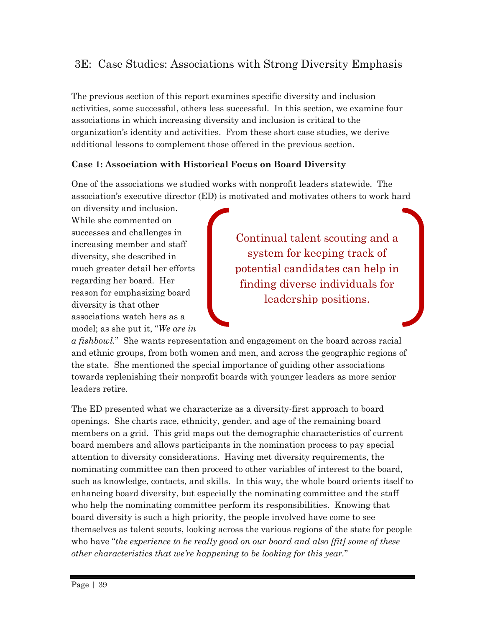### 3E: Case Studies: Associations with Strong Diversity Emphasis

The previous section of this report examines specific diversity and inclusion activities, some successful, others less successful. In this section, we examine four associations in which increasing diversity and inclusion is critical to the organization's identity and activities. From these short case studies, we derive additional lessons to complement those offered in the previous section.

#### **Case 1: Association with Historical Focus on Board Diversity**

One of the associations we studied works with nonprofit leaders statewide. The association's executive director (ED) is motivated and motivates others to work hard

on diversity and inclusion. While she commented on successes and challenges in increasing member and staff diversity, she described in much greater detail her efforts regarding her board. Her reason for emphasizing board diversity is that other associations watch hers as a model; as she put it, "*We are in* 

Continual talent scouting and a system for keeping track of potential candidates can help in finding diverse individuals for leadership positions.

*a fishbowl.*" She wants representation and engagement on the board across racial and ethnic groups, from both women and men, and across the geographic regions of the state. She mentioned the special importance of guiding other associations towards replenishing their nonprofit boards with younger leaders as more senior leaders retire.

The ED presented what we characterize as a diversity-first approach to board openings. She charts race, ethnicity, gender, and age of the remaining board members on a grid. This grid maps out the demographic characteristics of current board members and allows participants in the nomination process to pay special attention to diversity considerations. Having met diversity requirements, the nominating committee can then proceed to other variables of interest to the board, such as knowledge, contacts, and skills. In this way, the whole board orients itself to enhancing board diversity, but especially the nominating committee and the staff who help the nominating committee perform its responsibilities. Knowing that board diversity is such a high priority, the people involved have come to see themselves as talent scouts, looking across the various regions of the state for people who have "*the experience to be really good on our board and also [fit] some of these other characteristics that we're happening to be looking for this year.*"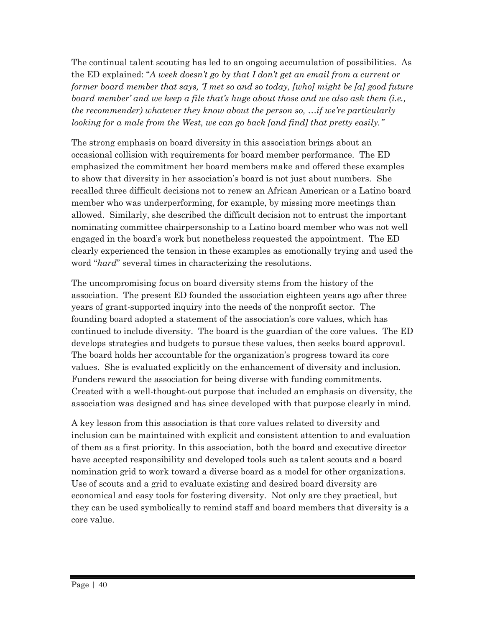The continual talent scouting has led to an ongoing accumulation of possibilities. As the ED explained: "*A week doesn't go by that I don't get an email from a current or former board member that says, 'I met so and so today, [who] might be [a] good future board member' and we keep a file that's huge about those and we also ask them (i.e., the recommender) whatever they know about the person so, …if we're particularly looking for a male from the West, we can go back [and find] that pretty easily."*

The strong emphasis on board diversity in this association brings about an occasional collision with requirements for board member performance. The ED emphasized the commitment her board members make and offered these examples to show that diversity in her association's board is not just about numbers. She recalled three difficult decisions not to renew an African American or a Latino board member who was underperforming, for example, by missing more meetings than allowed. Similarly, she described the difficult decision not to entrust the important nominating committee chairpersonship to a Latino board member who was not well engaged in the board's work but nonetheless requested the appointment. The ED clearly experienced the tension in these examples as emotionally trying and used the word "*hard*" several times in characterizing the resolutions.

The uncompromising focus on board diversity stems from the history of the association. The present ED founded the association eighteen years ago after three years of grant-supported inquiry into the needs of the nonprofit sector. The founding board adopted a statement of the association's core values, which has continued to include diversity. The board is the guardian of the core values. The ED develops strategies and budgets to pursue these values, then seeks board approval. The board holds her accountable for the organization's progress toward its core values. She is evaluated explicitly on the enhancement of diversity and inclusion. Funders reward the association for being diverse with funding commitments. Created with a well-thought-out purpose that included an emphasis on diversity, the association was designed and has since developed with that purpose clearly in mind.

A key lesson from this association is that core values related to diversity and inclusion can be maintained with explicit and consistent attention to and evaluation of them as a first priority. In this association, both the board and executive director have accepted responsibility and developed tools such as talent scouts and a board nomination grid to work toward a diverse board as a model for other organizations. Use of scouts and a grid to evaluate existing and desired board diversity are economical and easy tools for fostering diversity. Not only are they practical, but they can be used symbolically to remind staff and board members that diversity is a core value.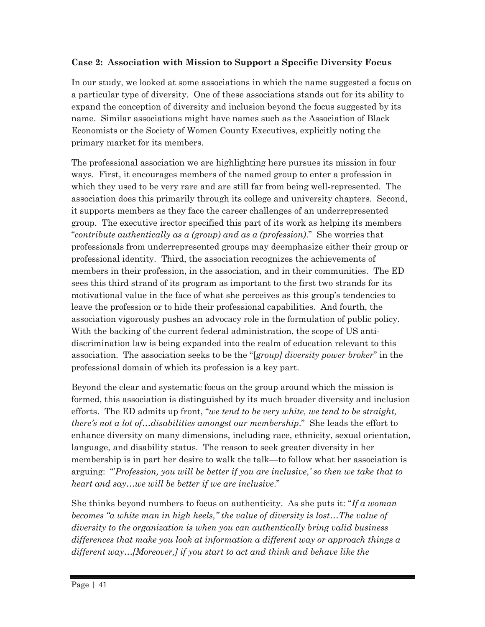#### **Case 2: Association with Mission to Support a Specific Diversity Focus**

In our study, we looked at some associations in which the name suggested a focus on a particular type of diversity. One of these associations stands out for its ability to expand the conception of diversity and inclusion beyond the focus suggested by its name. Similar associations might have names such as the Association of Black Economists or the Society of Women County Executives, explicitly noting the primary market for its members.

The professional association we are highlighting here pursues its mission in four ways. First, it encourages members of the named group to enter a profession in which they used to be very rare and are still far from being well-represented. The association does this primarily through its college and university chapters. Second, it supports members as they face the career challenges of an underrepresented group. The executive irector specified this part of its work as helping its members "*contribute authentically as a (group) and as a (profession)*." She worries that professionals from underrepresented groups may deemphasize either their group or professional identity. Third, the association recognizes the achievements of members in their profession, in the association, and in their communities. The ED sees this third strand of its program as important to the first two strands for its motivational value in the face of what she perceives as this group's tendencies to leave the profession or to hide their professional capabilities. And fourth, the association vigorously pushes an advocacy role in the formulation of public policy. With the backing of the current federal administration, the scope of US antidiscrimination law is being expanded into the realm of education relevant to this association. The association seeks to be the "[*group] diversity power broker*" in the professional domain of which its profession is a key part.

Beyond the clear and systematic focus on the group around which the mission is formed, this association is distinguished by its much broader diversity and inclusion efforts. The ED admits up front, "*we tend to be very white, we tend to be straight, there's not a lot of…disabilities amongst our membership*." She leads the effort to enhance diversity on many dimensions, including race, ethnicity, sexual orientation, language, and disability status. The reason to seek greater diversity in her membership is in part her desire to walk the talk—to follow what her association is arguing: "'*Profession, you will be better if you are inclusive,' so then we take that to heart and say…we will be better if we are inclusive*."

She thinks beyond numbers to focus on authenticity. As she puts it: "*If a woman becomes "a white man in high heels," the value of diversity is lost...The value of diversity to the organization is when you can authentically bring valid business differences that make you look at information a different way or approach things a different way…[Moreover,] if you start to act and think and behave like the*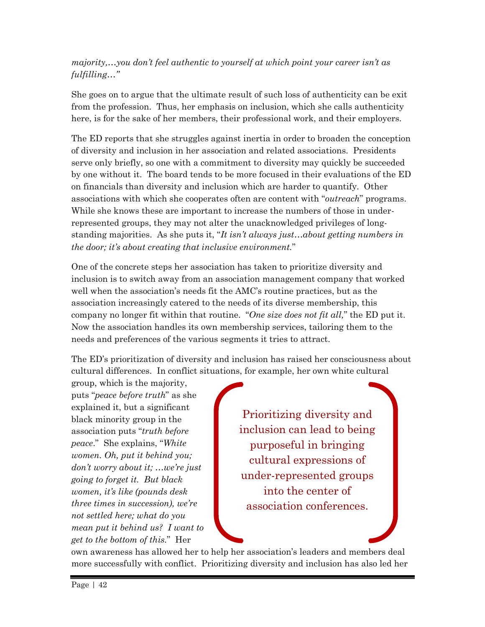#### *majority,…you don't feel authentic to yourself at which point your career isn't as fulfilling…"*

She goes on to argue that the ultimate result of such loss of authenticity can be exit from the profession. Thus, her emphasis on inclusion, which she calls authenticity here, is for the sake of her members, their professional work, and their employers.

The ED reports that she struggles against inertia in order to broaden the conception of diversity and inclusion in her association and related associations. Presidents serve only briefly, so one with a commitment to diversity may quickly be succeeded by one without it. The board tends to be more focused in their evaluations of the ED on financials than diversity and inclusion which are harder to quantify. Other associations with which she cooperates often are content with "*outreach*" programs. While she knows these are important to increase the numbers of those in underrepresented groups, they may not alter the unacknowledged privileges of longstanding majorities. As she puts it, "*It isn't always just…about getting numbers in the door; it's about creating that inclusive environment.*"

One of the concrete steps her association has taken to prioritize diversity and inclusion is to switch away from an association management company that worked well when the association's needs fit the AMC's routine practices, but as the association increasingly catered to the needs of its diverse membership, this company no longer fit within that routine. "*One size does not fit all,*" the ED put it. Now the association handles its own membership services, tailoring them to the needs and preferences of the various segments it tries to attract.

The ED's prioritization of diversity and inclusion has raised her consciousness about cultural differences. In conflict situations, for example, her own white cultural

group, which is the majority, puts "*peace before truth*" as she explained it, but a significant black minority group in the association puts "*truth before peace*." She explains, "*White women. Oh, put it behind you; don't worry about it; …we're just going to forget it. But black women, it's like (pounds desk three times in succession), we're not settled here; what do you mean put it behind us? I want to get to the bottom of this.*" Her

Prioritizing diversity and inclusion can lead to being purposeful in bringing cultural expressions of under-represented groups into the center of association conferences.

own awareness has allowed her to help her association's leaders and members deal more successfully with conflict. Prioritizing diversity and inclusion has also led her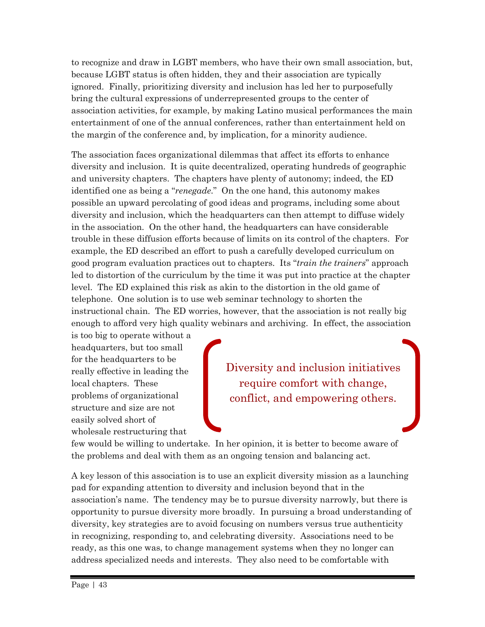to recognize and draw in LGBT members, who have their own small association, but, because LGBT status is often hidden, they and their association are typically ignored. Finally, prioritizing diversity and inclusion has led her to purposefully bring the cultural expressions of underrepresented groups to the center of association activities, for example, by making Latino musical performances the main entertainment of one of the annual conferences, rather than entertainment held on the margin of the conference and, by implication, for a minority audience.

The association faces organizational dilemmas that affect its efforts to enhance diversity and inclusion. It is quite decentralized, operating hundreds of geographic and university chapters. The chapters have plenty of autonomy; indeed, the ED identified one as being a "*renegade*." On the one hand, this autonomy makes possible an upward percolating of good ideas and programs, including some about diversity and inclusion, which the headquarters can then attempt to diffuse widely in the association. On the other hand, the headquarters can have considerable trouble in these diffusion efforts because of limits on its control of the chapters. For example, the ED described an effort to push a carefully developed curriculum on good program evaluation practices out to chapters. Its "*train the trainers*" approach led to distortion of the curriculum by the time it was put into practice at the chapter level. The ED explained this risk as akin to the distortion in the old game of telephone. One solution is to use web seminar technology to shorten the instructional chain. The ED worries, however, that the association is not really big enough to afford very high quality webinars and archiving. In effect, the association

is too big to operate without a headquarters, but too small for the headquarters to be really effective in leading the local chapters. These problems of organizational structure and size are not easily solved short of wholesale restructuring that

Diversity and inclusion initiatives require comfort with change, conflict, and empowering others.

few would be willing to undertake. In her opinion, it is better to become aware of the problems and deal with them as an ongoing tension and balancing act.

A key lesson of this association is to use an explicit diversity mission as a launching pad for expanding attention to diversity and inclusion beyond that in the association's name. The tendency may be to pursue diversity narrowly, but there is opportunity to pursue diversity more broadly. In pursuing a broad understanding of diversity, key strategies are to avoid focusing on numbers versus true authenticity in recognizing, responding to, and celebrating diversity. Associations need to be ready, as this one was, to change management systems when they no longer can address specialized needs and interests. They also need to be comfortable with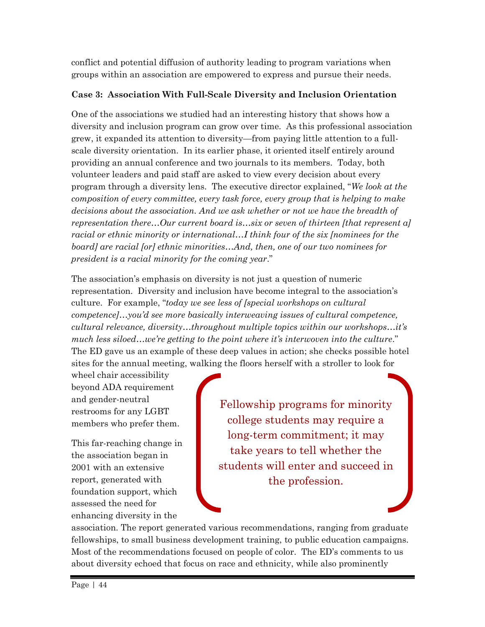conflict and potential diffusion of authority leading to program variations when groups within an association are empowered to express and pursue their needs.

#### **Case 3: Association With Full-Scale Diversity and Inclusion Orientation**

One of the associations we studied had an interesting history that shows how a diversity and inclusion program can grow over time. As this professional association grew, it expanded its attention to diversity—from paying little attention to a fullscale diversity orientation. In its earlier phase, it oriented itself entirely around providing an annual conference and two journals to its members. Today, both volunteer leaders and paid staff are asked to view every decision about every program through a diversity lens. The executive director explained, "*We look at the composition of every committee, every task force, every group that is helping to make*  decisions about the association. And we ask whether or not we have the breadth of *representation there…Our current board is…six or seven of thirteen [that represent a] racial or ethnic minority or international...I think four of the six [nominees for the board] are racial [or] ethnic minorities…And, then, one of our two nominees for president is a racial minority for the coming year*."

The association's emphasis on diversity is not just a question of numeric representation. Diversity and inclusion have become integral to the association's culture. For example, "*today we see less of [special workshops on cultural competence]…you'd see more basically interweaving issues of cultural competence, cultural relevance, diversity…throughout multiple topics within our workshops…it's*  much less siloed...we're getting to the point where it's interwoven into the culture." The ED gave us an example of these deep values in action; she checks possible hotel sites for the annual meeting, walking the floors herself with a stroller to look for

wheel chair accessibility beyond ADA requirement and gender-neutral restrooms for any LGBT members who prefer them.

This far-reaching change in the association began in 2001 with an extensive report, generated with foundation support, which assessed the need for enhancing diversity in the

Fellowship programs for minority college students may require a long-term commitment; it may take years to tell whether the students will enter and succeed in the profession.

association. The report generated various recommendations, ranging from graduate fellowships, to small business development training, to public education campaigns. Most of the recommendations focused on people of color. The ED's comments to us about diversity echoed that focus on race and ethnicity, while also prominently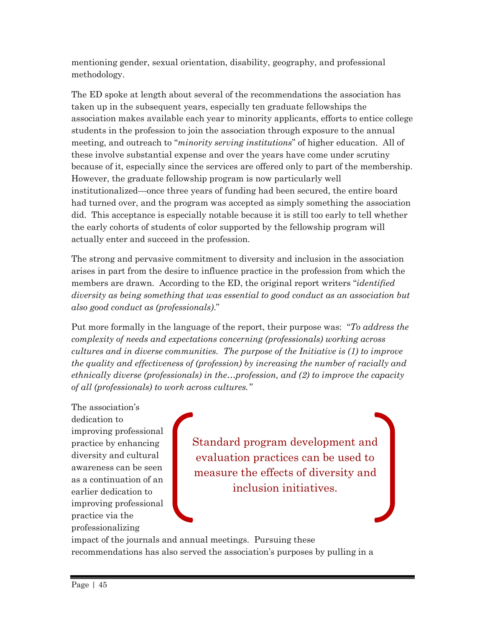mentioning gender, sexual orientation, disability, geography, and professional methodology.

The ED spoke at length about several of the recommendations the association has taken up in the subsequent years, especially ten graduate fellowships the association makes available each year to minority applicants, efforts to entice college students in the profession to join the association through exposure to the annual meeting, and outreach to "*minority serving institutions*" of higher education. All of these involve substantial expense and over the years have come under scrutiny because of it, especially since the services are offered only to part of the membership. However, the graduate fellowship program is now particularly well institutionalized—once three years of funding had been secured, the entire board had turned over, and the program was accepted as simply something the association did. This acceptance is especially notable because it is still too early to tell whether the early cohorts of students of color supported by the fellowship program will actually enter and succeed in the profession.

The strong and pervasive commitment to diversity and inclusion in the association arises in part from the desire to influence practice in the profession from which the members are drawn. According to the ED, the original report writers "*identified diversity as being something that was essential to good conduct as an association but also good conduct as (professionals)*."

Put more formally in the language of the report, their purpose was: "*To address the complexity of needs and expectations concerning (professionals) working across cultures and in diverse communities. The purpose of the Initiative is (1) to improve the quality and effectiveness of (profession) by increasing the number of racially and ethnically diverse (professionals) in the…profession, and (2) to improve the capacity of all (professionals) to work across cultures."*

The association's dedication to improving professional practice by enhancing diversity and cultural awareness can be seen as a continuation of an earlier dedication to improving professional practice via the professionalizing

Standard program development and evaluation practices can be used to measure the effects of diversity and inclusion initiatives.

impact of the journals and annual meetings. Pursuing these recommendations has also served the association's purposes by pulling in a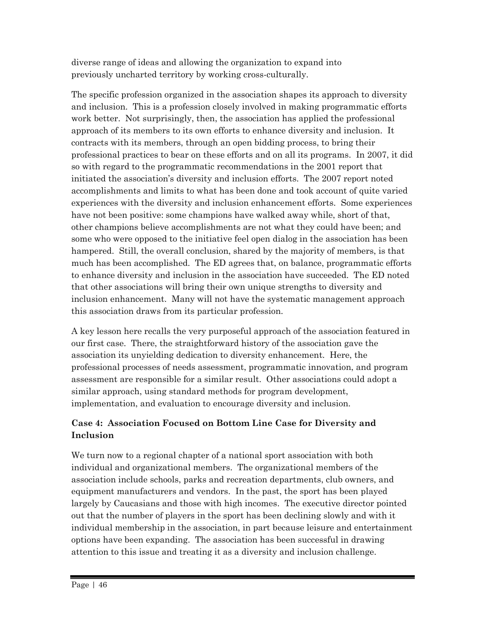diverse range of ideas and allowing the organization to expand into previously uncharted territory by working cross-culturally.

The specific profession organized in the association shapes its approach to diversity and inclusion. This is a profession closely involved in making programmatic efforts work better. Not surprisingly, then, the association has applied the professional approach of its members to its own efforts to enhance diversity and inclusion. It contracts with its members, through an open bidding process, to bring their professional practices to bear on these efforts and on all its programs. In 2007, it did so with regard to the programmatic recommendations in the 2001 report that initiated the association's diversity and inclusion efforts. The 2007 report noted accomplishments and limits to what has been done and took account of quite varied experiences with the diversity and inclusion enhancement efforts. Some experiences have not been positive: some champions have walked away while, short of that, other champions believe accomplishments are not what they could have been; and some who were opposed to the initiative feel open dialog in the association has been hampered. Still, the overall conclusion, shared by the majority of members, is that much has been accomplished. The ED agrees that, on balance, programmatic efforts to enhance diversity and inclusion in the association have succeeded. The ED noted that other associations will bring their own unique strengths to diversity and inclusion enhancement. Many will not have the systematic management approach this association draws from its particular profession.

A key lesson here recalls the very purposeful approach of the association featured in our first case. There, the straightforward history of the association gave the association its unyielding dedication to diversity enhancement. Here, the professional processes of needs assessment, programmatic innovation, and program assessment are responsible for a similar result. Other associations could adopt a similar approach, using standard methods for program development, implementation, and evaluation to encourage diversity and inclusion.

#### **Case 4: Association Focused on Bottom Line Case for Diversity and Inclusion**

We turn now to a regional chapter of a national sport association with both individual and organizational members. The organizational members of the association include schools, parks and recreation departments, club owners, and equipment manufacturers and vendors. In the past, the sport has been played largely by Caucasians and those with high incomes. The executive director pointed out that the number of players in the sport has been declining slowly and with it individual membership in the association, in part because leisure and entertainment options have been expanding. The association has been successful in drawing attention to this issue and treating it as a diversity and inclusion challenge.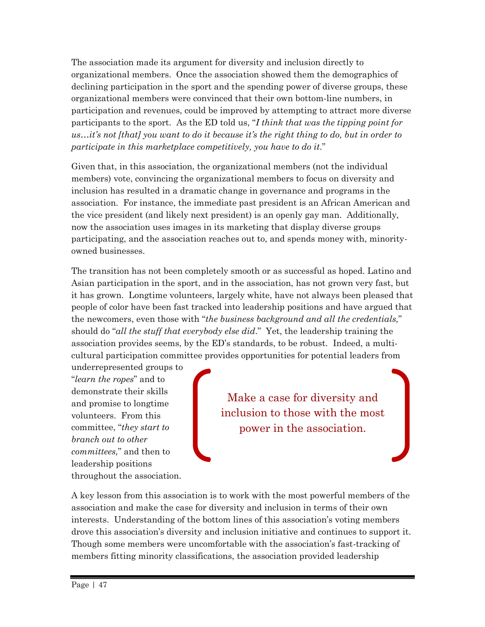The association made its argument for diversity and inclusion directly to organizational members. Once the association showed them the demographics of declining participation in the sport and the spending power of diverse groups, these organizational members were convinced that their own bottom-line numbers, in participation and revenues, could be improved by attempting to attract more diverse participants to the sport. As the ED told us, "*I think that was the tipping point for us…it's not [that] you want to do it because it's the right thing to do, but in order to participate in this marketplace competitively, you have to do it*."

Given that, in this association, the organizational members (not the individual members) vote, convincing the organizational members to focus on diversity and inclusion has resulted in a dramatic change in governance and programs in the association. For instance, the immediate past president is an African American and the vice president (and likely next president) is an openly gay man. Additionally, now the association uses images in its marketing that display diverse groups participating, and the association reaches out to, and spends money with, minorityowned businesses.

The transition has not been completely smooth or as successful as hoped. Latino and Asian participation in the sport, and in the association, has not grown very fast, but it has grown. Longtime volunteers, largely white, have not always been pleased that people of color have been fast tracked into leadership positions and have argued that the newcomers, even those with "*the business background and all the credentials,*" should do "*all the stuff that everybody else did*." Yet, the leadership training the association provides seems, by the ED's standards, to be robust. Indeed, a multicultural participation committee provides opportunities for potential leaders from

underrepresented groups to "*learn the ropes*" and to demonstrate their skills and promise to longtime volunteers. From this committee, "*they start to branch out to other committees,*" and then to leadership positions throughout the association.

Make a case for diversity and inclusion to those with the most power in the association.

A key lesson from this association is to work with the most powerful members of the association and make the case for diversity and inclusion in terms of their own interests. Understanding of the bottom lines of this association's voting members drove this association's diversity and inclusion initiative and continues to support it. Though some members were uncomfortable with the association's fast-tracking of members fitting minority classifications, the association provided leadership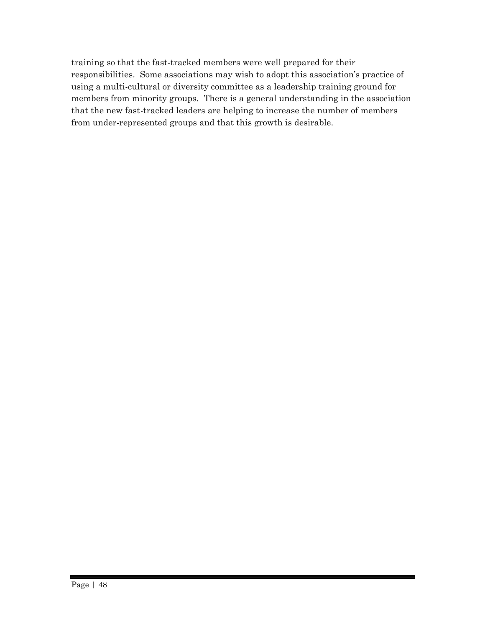training so that the fast-tracked members were well prepared for their responsibilities. Some associations may wish to adopt this association's practice of using a multi-cultural or diversity committee as a leadership training ground for members from minority groups. There is a general understanding in the association that the new fast-tracked leaders are helping to increase the number of members from under-represented groups and that this growth is desirable.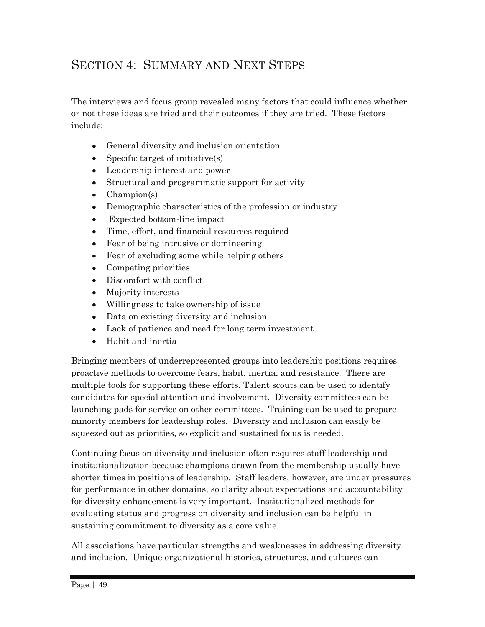### SECTION 4: SUMMARY AND NEXT STEPS

The interviews and focus group revealed many factors that could influence whether or not these ideas are tried and their outcomes if they are tried. These factors include:

- General diversity and inclusion orientation  $\bullet$
- Specific target of initiative(s)  $\bullet$
- Leadership interest and power
- Structural and programmatic support for activity
- Champion(s)
- Demographic characteristics of the profession or industry  $\bullet$
- Expected bottom-line impact
- Time, effort, and financial resources required  $\bullet$
- Fear of being intrusive or domineering
- Fear of excluding some while helping others
- Competing priorities
- Discomfort with conflict
- Majority interests
- Willingness to take ownership of issue
- Data on existing diversity and inclusion
- Lack of patience and need for long term investment  $\bullet$
- Habit and inertia  $\bullet$

Bringing members of underrepresented groups into leadership positions requires proactive methods to overcome fears, habit, inertia, and resistance. There are multiple tools for supporting these efforts. Talent scouts can be used to identify candidates for special attention and involvement. Diversity committees can be launching pads for service on other committees. Training can be used to prepare minority members for leadership roles. Diversity and inclusion can easily be squeezed out as priorities, so explicit and sustained focus is needed.

Continuing focus on diversity and inclusion often requires staff leadership and institutionalization because champions drawn from the membership usually have shorter times in positions of leadership. Staff leaders, however, are under pressures for performance in other domains, so clarity about expectations and accountability for diversity enhancement is very important. Institutionalized methods for evaluating status and progress on diversity and inclusion can be helpful in sustaining commitment to diversity as a core value.

All associations have particular strengths and weaknesses in addressing diversity and inclusion. Unique organizational histories, structures, and cultures can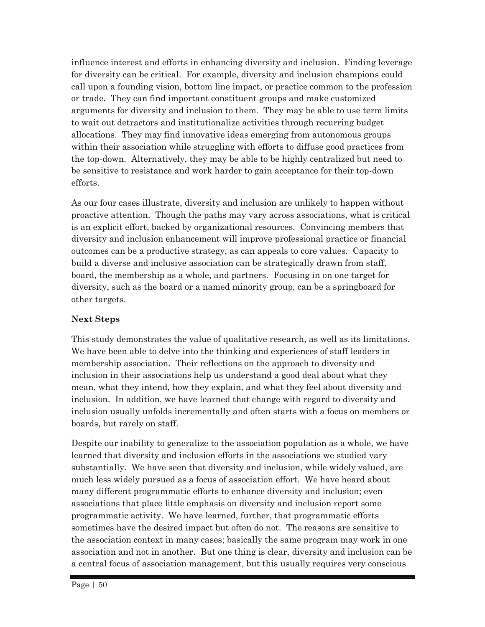influence interest and efforts in enhancing diversity and inclusion. Finding leverage for diversity can be critical. For example, diversity and inclusion champions could call upon a founding vision, bottom line impact, or practice common to the profession or trade. They can find important constituent groups and make customized arguments for diversity and inclusion to them. They may be able to use term limits to wait out detractors and institutionalize activities through recurring budget allocations. They may find innovative ideas emerging from autonomous groups within their association while struggling with efforts to diffuse good practices from the top-down. Alternatively, they may be able to be highly centralized but need to be sensitive to resistance and work harder to gain acceptance for their top-down efforts.

As our four cases illustrate, diversity and inclusion are unlikely to happen without proactive attention. Though the paths may vary across associations, what is critical is an explicit effort, backed by organizational resources. Convincing members that diversity and inclusion enhancement will improve professional practice or financial outcomes can be a productive strategy, as can appeals to core values. Capacity to build a diverse and inclusive association can be strategically drawn from staff, board, the membership as a whole, and partners. Focusing in on one target for diversity, such as the board or a named minority group, can be a springboard for other targets.

#### **Next Steps**

This study demonstrates the value of qualitative research, as well as its limitations. We have been able to delve into the thinking and experiences of staff leaders in membership association. Their reflections on the approach to diversity and inclusion in their associations help us understand a good deal about what they mean, what they intend, how they explain, and what they feel about diversity and inclusion. In addition, we have learned that change with regard to diversity and inclusion usually unfolds incrementally and often starts with a focus on members or boards, but rarely on staff.

Despite our inability to generalize to the association population as a whole, we have learned that diversity and inclusion efforts in the associations we studied vary substantially. We have seen that diversity and inclusion, while widely valued, are much less widely pursued as a focus of association effort. We have heard about many different programmatic efforts to enhance diversity and inclusion; even associations that place little emphasis on diversity and inclusion report some programmatic activity. We have learned, further, that programmatic efforts sometimes have the desired impact but often do not. The reasons are sensitive to the association context in many cases; basically the same program may work in one association and not in another. But one thing is clear, diversity and inclusion can be a central focus of association management, but this usually requires very conscious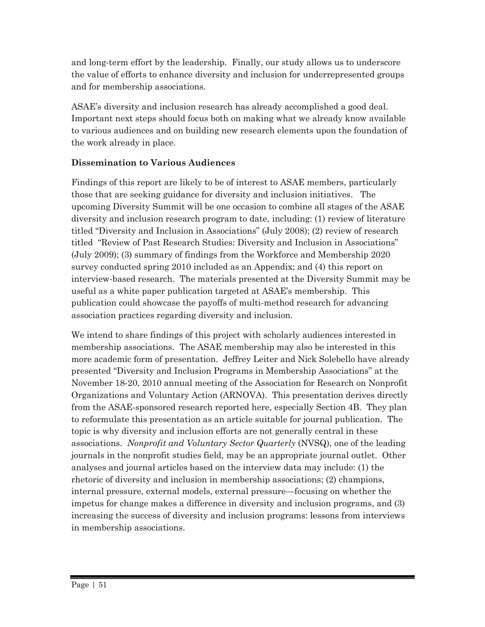and long-term effort by the leadership. Finally, our study allows us to underscore the value of efforts to enhance diversity and inclusion for underrepresented groups and for membership associations.

ASAE's diversity and inclusion research has already accomplished a good deal. Important next steps should focus both on making what we already know available to various audiences and on building new research elements upon the foundation of the work already in place.

#### **Dissemination to Various Audiences**

Findings of this report are likely to be of interest to ASAE members, particularly those that are seeking guidance for diversity and inclusion initiatives. The upcoming Diversity Summit will be one occasion to combine all stages of the ASAE diversity and inclusion research program to date, including: (1) review of literature titled "Diversity and Inclusion in Associations" (July 2008); (2) review of research titled "Review of Past Research Studies: Diversity and Inclusion in Associations" (July 2009); (3) summary of findings from the Workforce and Membership 2020 survey conducted spring 2010 included as an Appendix; and (4) this report on interview-based research. The materials presented at the Diversity Summit may be useful as a white paper publication targeted at ASAE's membership. This publication could showcase the payoffs of multi-method research for advancing association practices regarding diversity and inclusion.

We intend to share findings of this project with scholarly audiences interested in membership associations. The ASAE membership may also be interested in this more academic form of presentation. Jeffrey Leiter and Nick Solebello have already presented "Diversity and Inclusion Programs in Membership Associations" at the November 18-20, 2010 annual meeting of the Association for Research on Nonprofit Organizations and Voluntary Action (ARNOVA). This presentation derives directly from the ASAE-sponsored research reported here, especially Section 4B. They plan to reformulate this presentation as an article suitable for journal publication. The topic is why diversity and inclusion efforts are not generally central in these associations. *Nonprofit and Voluntary Sector Quarterly* (NVSQ), one of the leading journals in the nonprofit studies field, may be an appropriate journal outlet. Other analyses and journal articles based on the interview data may include: (1) the rhetoric of diversity and inclusion in membership associations; (2) champions, internal pressure, external models, external pressure—focusing on whether the impetus for change makes a difference in diversity and inclusion programs, and (3) increasing the success of diversity and inclusion programs: lessons from interviews in membership associations.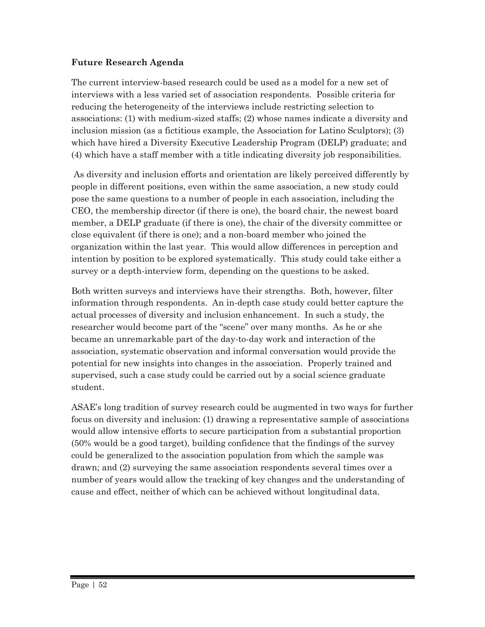#### **Future Research Agenda**

The current interview-based research could be used as a model for a new set of interviews with a less varied set of association respondents. Possible criteria for reducing the heterogeneity of the interviews include restricting selection to associations: (1) with medium-sized staffs; (2) whose names indicate a diversity and inclusion mission (as a fictitious example, the Association for Latino Sculptors); (3) which have hired a Diversity Executive Leadership Program (DELP) graduate; and (4) which have a staff member with a title indicating diversity job responsibilities.

As diversity and inclusion efforts and orientation are likely perceived differently by people in different positions, even within the same association, a new study could pose the same questions to a number of people in each association, including the CEO, the membership director (if there is one), the board chair, the newest board member, a DELP graduate (if there is one), the chair of the diversity committee or close equivalent (if there is one); and a non-board member who joined the organization within the last year. This would allow differences in perception and intention by position to be explored systematically. This study could take either a survey or a depth-interview form, depending on the questions to be asked.

Both written surveys and interviews have their strengths. Both, however, filter information through respondents. An in-depth case study could better capture the actual processes of diversity and inclusion enhancement. In such a study, the researcher would become part of the "scene" over many months. As he or she became an unremarkable part of the day-to-day work and interaction of the association, systematic observation and informal conversation would provide the potential for new insights into changes in the association. Properly trained and supervised, such a case study could be carried out by a social science graduate student.

ASAE's long tradition of survey research could be augmented in two ways for further focus on diversity and inclusion: (1) drawing a representative sample of associations would allow intensive efforts to secure participation from a substantial proportion (50% would be a good target), building confidence that the findings of the survey could be generalized to the association population from which the sample was drawn; and (2) surveying the same association respondents several times over a number of years would allow the tracking of key changes and the understanding of cause and effect, neither of which can be achieved without longitudinal data.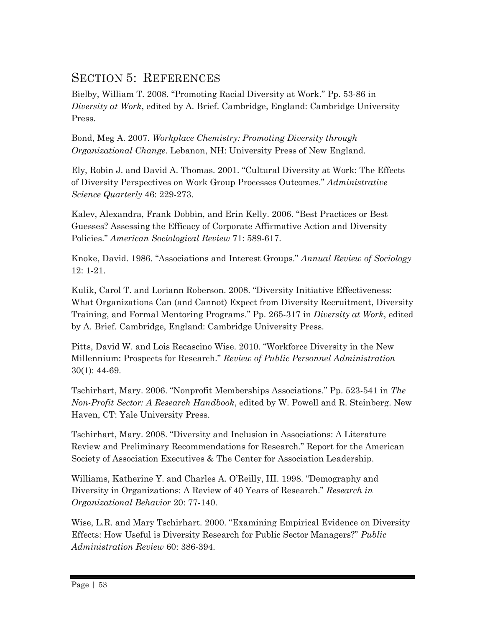### SECTION 5: REFERENCES

Bielby, William T. 2008. "Promoting Racial Diversity at Work." Pp. 53-86 in *Diversity at Work*, edited by A. Brief. Cambridge, England: Cambridge University Press.

Bond, Meg A. 2007. *Workplace Chemistry: Promoting Diversity through Organizational Change*. Lebanon, NH: University Press of New England.

Ely, Robin J. and David A. Thomas. 2001. "Cultural Diversity at Work: The Effects of Diversity Perspectives on Work Group Processes Outcomes." *Administrative Science Quarterly* 46: 229-273.

Kalev, Alexandra, Frank Dobbin, and Erin Kelly. 2006. "Best Practices or Best Guesses? Assessing the Efficacy of Corporate Affirmative Action and Diversity Policies." *American Sociological Review* 71: 589-617.

Knoke, David. 1986. "Associations and Interest Groups." *Annual Review of Sociology* 12: 1-21.

Kulik, Carol T. and Loriann Roberson. 2008. "Diversity Initiative Effectiveness: What Organizations Can (and Cannot) Expect from Diversity Recruitment, Diversity Training, and Formal Mentoring Programs." Pp. 265-317 in *Diversity at Work*, edited by A. Brief. Cambridge, England: Cambridge University Press.

Pitts, David W. and Lois Recascino Wise. 2010. "Workforce Diversity in the New Millennium: Prospects for Research." *Review of Public Personnel Administration* 30(1): 44-69.

Tschirhart, Mary. 2006. "Nonprofit Memberships Associations." Pp. 523-541 in *The Non-Profit Sector: A Research Handbook*, edited by W. Powell and R. Steinberg. New Haven, CT: Yale University Press.

Tschirhart, Mary. 2008. "Diversity and Inclusion in Associations: A Literature Review and Preliminary Recommendations for Research." Report for the American Society of Association Executives & The Center for Association Leadership.

Williams, Katherine Y. and Charles A. O'Reilly, III. 1998. "Demography and Diversity in Organizations: A Review of 40 Years of Research." *Research in Organizational Behavior* 20: 77-140.

Wise, L.R. and Mary Tschirhart. 2000. "Examining Empirical Evidence on Diversity Effects: How Useful is Diversity Research for Public Sector Managers?" *Public Administration Review* 60: 386-394.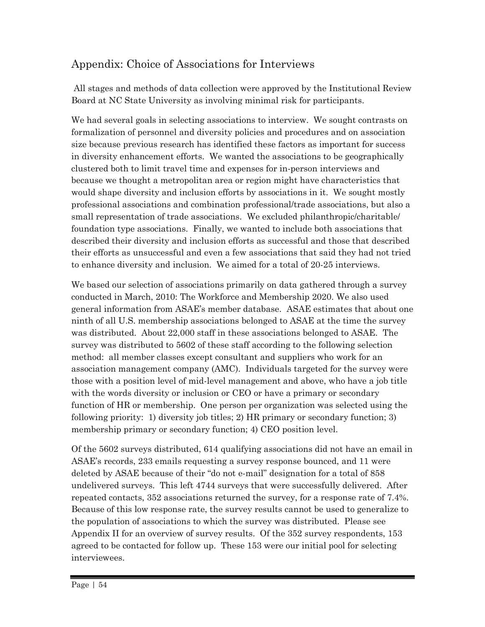### Appendix: Choice of Associations for Interviews

All stages and methods of data collection were approved by the Institutional Review Board at NC State University as involving minimal risk for participants.

We had several goals in selecting associations to interview. We sought contrasts on formalization of personnel and diversity policies and procedures and on association size because previous research has identified these factors as important for success in diversity enhancement efforts. We wanted the associations to be geographically clustered both to limit travel time and expenses for in-person interviews and because we thought a metropolitan area or region might have characteristics that would shape diversity and inclusion efforts by associations in it. We sought mostly professional associations and combination professional/trade associations, but also a small representation of trade associations. We excluded philanthropic/charitable/ foundation type associations. Finally, we wanted to include both associations that described their diversity and inclusion efforts as successful and those that described their efforts as unsuccessful and even a few associations that said they had not tried to enhance diversity and inclusion. We aimed for a total of 20-25 interviews.

We based our selection of associations primarily on data gathered through a survey conducted in March, 2010: The Workforce and Membership 2020. We also used general information from ASAE's member database. ASAE estimates that about one ninth of all U.S. membership associations belonged to ASAE at the time the survey was distributed. About 22,000 staff in these associations belonged to ASAE. The survey was distributed to 5602 of these staff according to the following selection method: all member classes except consultant and suppliers who work for an association management company (AMC). Individuals targeted for the survey were those with a position level of mid-level management and above, who have a job title with the words diversity or inclusion or CEO or have a primary or secondary function of HR or membership. One person per organization was selected using the following priority: 1) diversity job titles; 2) HR primary or secondary function; 3) membership primary or secondary function; 4) CEO position level.

Of the 5602 surveys distributed, 614 qualifying associations did not have an email in ASAE's records, 233 emails requesting a survey response bounced, and 11 were deleted by ASAE because of their "do not e-mail" designation for a total of 858 undelivered surveys. This left 4744 surveys that were successfully delivered. After repeated contacts, 352 associations returned the survey, for a response rate of 7.4%. Because of this low response rate, the survey results cannot be used to generalize to the population of associations to which the survey was distributed. Please see Appendix II for an overview of survey results. Of the 352 survey respondents, 153 agreed to be contacted for follow up. These 153 were our initial pool for selecting interviewees.